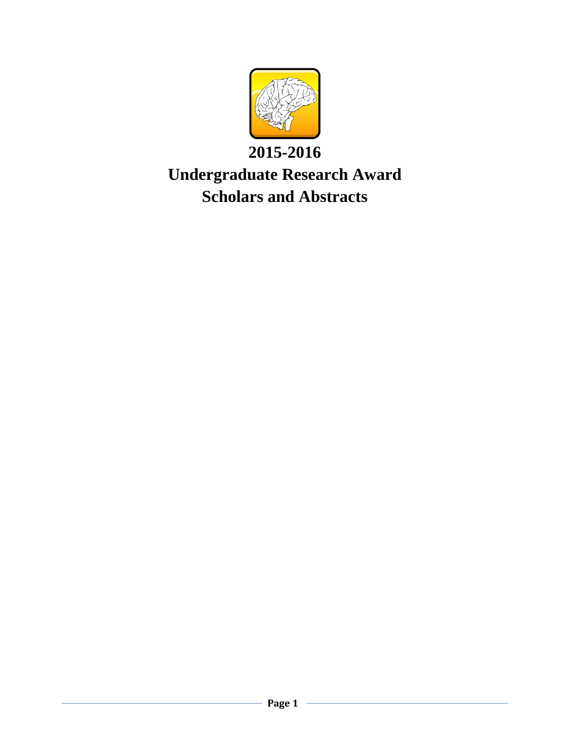

# **2015-2016 Undergraduate Research Award Scholars and Abstracts**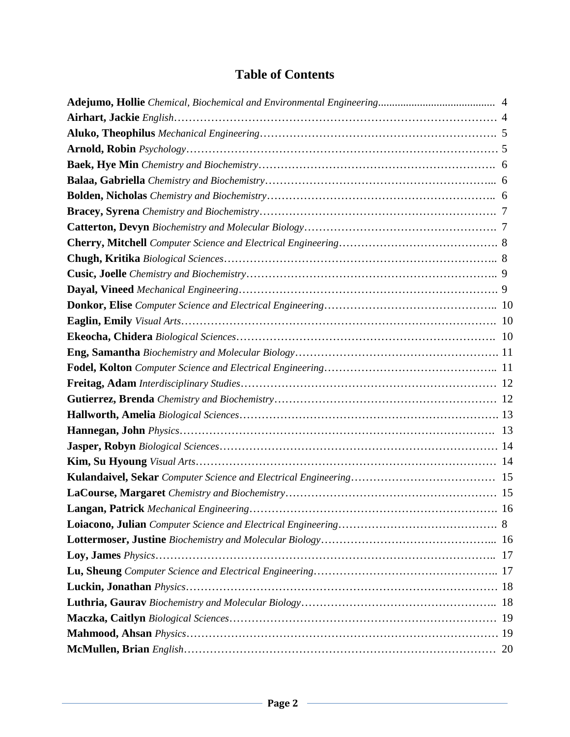## **Table of Contents**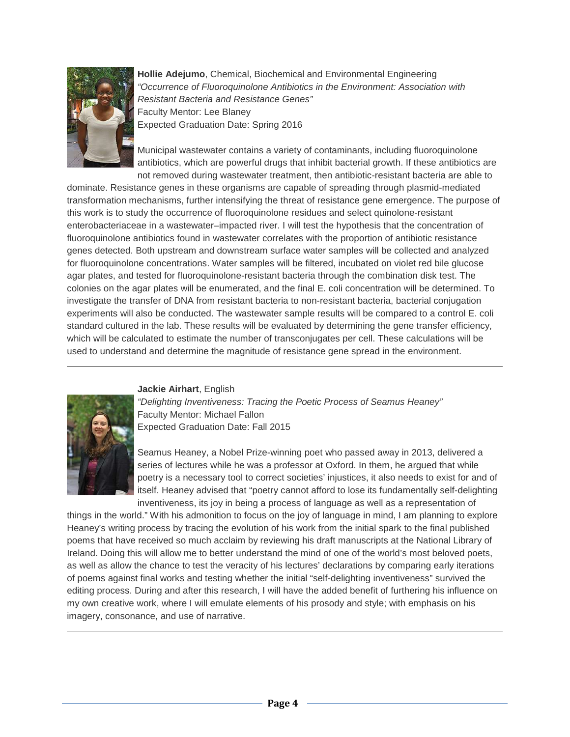

**Hollie Adejumo**, Chemical, Biochemical and Environmental Engineering *"Occurrence of Fluoroquinolone Antibiotics in the Environment: Association with Resistant Bacteria and Resistance Genes"* Faculty Mentor: Lee Blaney Expected Graduation Date: Spring 2016

Municipal wastewater contains a variety of contaminants, including fluoroquinolone antibiotics, which are powerful drugs that inhibit bacterial growth. If these antibiotics are not removed during wastewater treatment, then antibiotic-resistant bacteria are able to

dominate. Resistance genes in these organisms are capable of spreading through plasmid-mediated transformation mechanisms, further intensifying the threat of resistance gene emergence. The purpose of this work is to study the occurrence of fluoroquinolone residues and select quinolone-resistant enterobacteriaceae in a wastewater–impacted river. I will test the hypothesis that the concentration of fluoroquinolone antibiotics found in wastewater correlates with the proportion of antibiotic resistance genes detected. Both upstream and downstream surface water samples will be collected and analyzed for fluoroquinolone concentrations. Water samples will be filtered, incubated on violet red bile glucose agar plates, and tested for fluoroquinolone-resistant bacteria through the combination disk test. The colonies on the agar plates will be enumerated, and the final E. coli concentration will be determined. To investigate the transfer of DNA from resistant bacteria to non-resistant bacteria, bacterial conjugation experiments will also be conducted. The wastewater sample results will be compared to a control E. coli standard cultured in the lab. These results will be evaluated by determining the gene transfer efficiency, which will be calculated to estimate the number of transconjugates per cell. These calculations will be used to understand and determine the magnitude of resistance gene spread in the environment.

#### **Jackie Airhart**, English



*"Delighting Inventiveness: Tracing the Poetic Process of Seamus Heaney"* Faculty Mentor: Michael Fallon Expected Graduation Date: Fall 2015

Seamus Heaney, a Nobel Prize-winning poet who passed away in 2013, delivered a series of lectures while he was a professor at Oxford. In them, he argued that while poetry is a necessary tool to correct societies' injustices, it also needs to exist for and of itself. Heaney advised that "poetry cannot afford to lose its fundamentally self-delighting inventiveness, its joy in being a process of language as well as a representation of

things in the world." With his admonition to focus on the joy of language in mind, I am planning to explore Heaney's writing process by tracing the evolution of his work from the initial spark to the final published poems that have received so much acclaim by reviewing his draft manuscripts at the National Library of Ireland. Doing this will allow me to better understand the mind of one of the world's most beloved poets, as well as allow the chance to test the veracity of his lectures' declarations by comparing early iterations of poems against final works and testing whether the initial "self-delighting inventiveness" survived the editing process. During and after this research, I will have the added benefit of furthering his influence on my own creative work, where I will emulate elements of his prosody and style; with emphasis on his imagery, consonance, and use of narrative.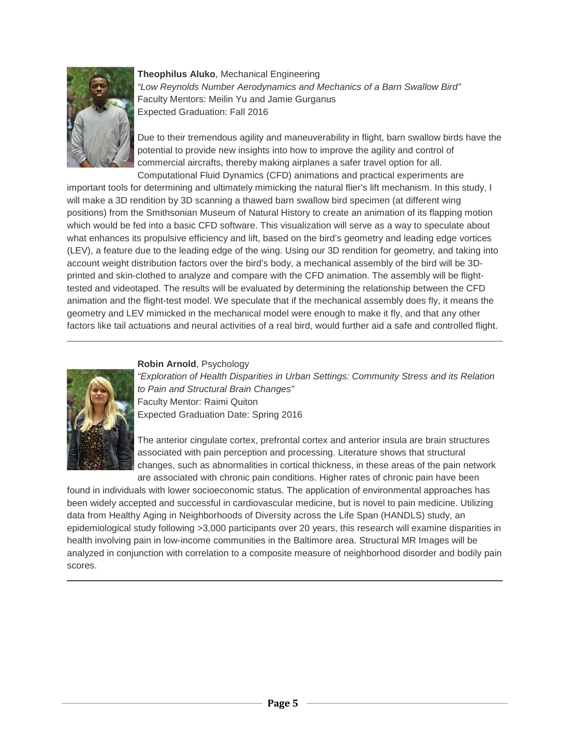

**Theophilus Aluko**, Mechanical Engineering *"Low Reynolds Number Aerodynamics and Mechanics of a Barn Swallow Bird"* Faculty Mentors: Meilin Yu and Jamie Gurganus Expected Graduation: Fall 2016

Due to their tremendous agility and maneuverability in flight, barn swallow birds have the potential to provide new insights into how to improve the agility and control of commercial aircrafts, thereby making airplanes a safer travel option for all. Computational Fluid Dynamics (CFD) animations and practical experiments are

important tools for determining and ultimately mimicking the natural flier's lift mechanism. In this study, I will make a 3D rendition by 3D scanning a thawed barn swallow bird specimen (at different wing positions) from the Smithsonian Museum of Natural History to create an animation of its flapping motion which would be fed into a basic CFD software. This visualization will serve as a way to speculate about what enhances its propulsive efficiency and lift, based on the bird's geometry and leading edge vortices (LEV), a feature due to the leading edge of the wing. Using our 3D rendition for geometry, and taking into account weight distribution factors over the bird's body, a mechanical assembly of the bird will be 3Dprinted and skin-clothed to analyze and compare with the CFD animation. The assembly will be flighttested and videotaped. The results will be evaluated by determining the relationship between the CFD animation and the flight-test model. We speculate that if the mechanical assembly does fly, it means the geometry and LEV mimicked in the mechanical model were enough to make it fly, and that any other factors like tail actuations and neural activities of a real bird, would further aid a safe and controlled flight.

#### **Robin Arnold**, Psychology



*"Exploration of Health Disparities in Urban Settings: Community Stress and its Relation to Pain and Structural Brain Changes"* Faculty Mentor: Raimi Quiton Expected Graduation Date: Spring 2016

The anterior cingulate cortex, prefrontal cortex and anterior insula are brain structures associated with pain perception and processing. Literature shows that structural changes, such as abnormalities in cortical thickness, in these areas of the pain network are associated with chronic pain conditions. Higher rates of chronic pain have been

found in individuals with lower socioeconomic status. The application of environmental approaches has been widely accepted and successful in cardiovascular medicine, but is novel to pain medicine. Utilizing data from Healthy Aging in Neighborhoods of Diversity across the Life Span (HANDLS) study, an epidemiological study following >3,000 participants over 20 years, this research will examine disparities in health involving pain in low-income communities in the Baltimore area. Structural MR Images will be analyzed in conjunction with correlation to a composite measure of neighborhood disorder and bodily pain scores.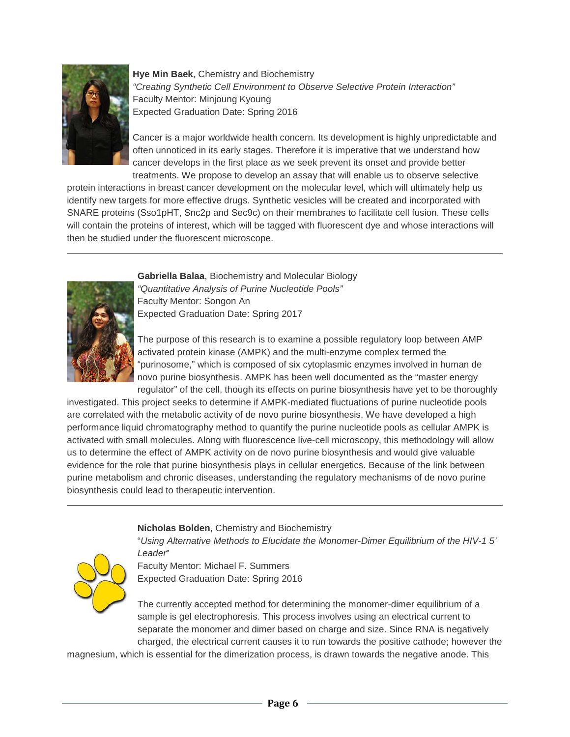

**Hye Min Baek**, Chemistry and Biochemistry *"Creating Synthetic Cell Environment to Observe Selective Protein Interaction"* Faculty Mentor: Minjoung Kyoung Expected Graduation Date: Spring 2016

Cancer is a major worldwide health concern. Its development is highly unpredictable and often unnoticed in its early stages. Therefore it is imperative that we understand how cancer develops in the first place as we seek prevent its onset and provide better treatments. We propose to develop an assay that will enable us to observe selective

protein interactions in breast cancer development on the molecular level, which will ultimately help us identify new targets for more effective drugs. Synthetic vesicles will be created and incorporated with SNARE proteins (Sso1pHT, Snc2p and Sec9c) on their membranes to facilitate cell fusion. These cells will contain the proteins of interest, which will be tagged with fluorescent dye and whose interactions will then be studied under the fluorescent microscope.



**Gabriella Balaa**, Biochemistry and Molecular Biology *"Quantitative Analysis of Purine Nucleotide Pools"* Faculty Mentor: Songon An Expected Graduation Date: Spring 2017

The purpose of this research is to examine a possible regulatory loop between AMP activated protein kinase (AMPK) and the multi-enzyme complex termed the "purinosome," which is composed of six cytoplasmic enzymes involved in human de novo purine biosynthesis. AMPK has been well documented as the "master energy regulator" of the cell, though its effects on purine biosynthesis have yet to be thoroughly

investigated. This project seeks to determine if AMPK-mediated fluctuations of purine nucleotide pools are correlated with the metabolic activity of de novo purine biosynthesis. We have developed a high performance liquid chromatography method to quantify the purine nucleotide pools as cellular AMPK is activated with small molecules. Along with fluorescence live-cell microscopy, this methodology will allow us to determine the effect of AMPK activity on de novo purine biosynthesis and would give valuable evidence for the role that purine biosynthesis plays in cellular energetics. Because of the link between purine metabolism and chronic diseases, understanding the regulatory mechanisms of de novo purine biosynthesis could lead to therapeutic intervention.

### **Nicholas Bolden**, Chemistry and Biochemistry

"*Using Alternative Methods to Elucidate the Monomer-Dimer Equilibrium of the HIV-1 5' Leader*"



Faculty Mentor: Michael F. Summers Expected Graduation Date: Spring 2016

The currently accepted method for determining the monomer-dimer equilibrium of a sample is gel electrophoresis. This process involves using an electrical current to separate the monomer and dimer based on charge and size. Since RNA is negatively charged, the electrical current causes it to run towards the positive cathode; however the

magnesium, which is essential for the dimerization process, is drawn towards the negative anode. This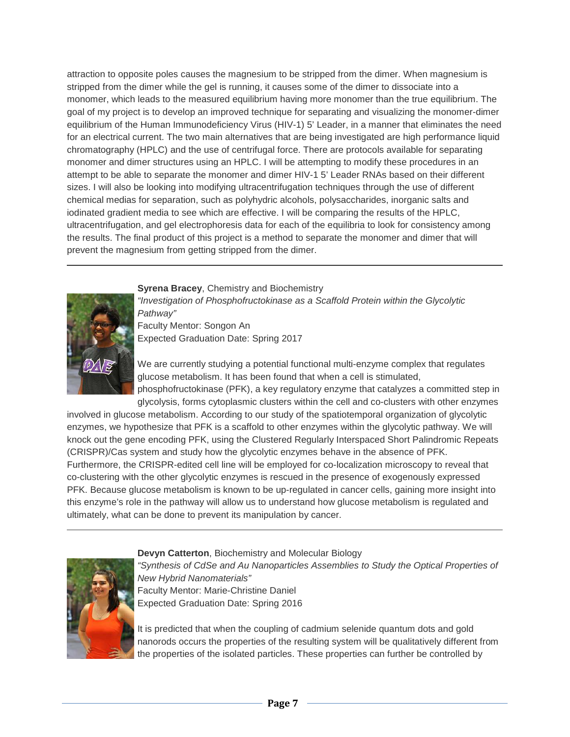attraction to opposite poles causes the magnesium to be stripped from the dimer. When magnesium is stripped from the dimer while the gel is running, it causes some of the dimer to dissociate into a monomer, which leads to the measured equilibrium having more monomer than the true equilibrium. The goal of my project is to develop an improved technique for separating and visualizing the monomer-dimer equilibrium of the Human Immunodeficiency Virus (HIV-1) 5' Leader, in a manner that eliminates the need for an electrical current. The two main alternatives that are being investigated are high performance liquid chromatography (HPLC) and the use of centrifugal force. There are protocols available for separating monomer and dimer structures using an HPLC. I will be attempting to modify these procedures in an attempt to be able to separate the monomer and dimer HIV-1 5' Leader RNAs based on their different sizes. I will also be looking into modifying ultracentrifugation techniques through the use of different chemical medias for separation, such as polyhydric alcohols, polysaccharides, inorganic salts and iodinated gradient media to see which are effective. I will be comparing the results of the HPLC, ultracentrifugation, and gel electrophoresis data for each of the equilibria to look for consistency among the results. The final product of this project is a method to separate the monomer and dimer that will prevent the magnesium from getting stripped from the dimer.

**Syrena Bracey**, Chemistry and Biochemistry



*"Investigation of Phosphofructokinase as a Scaffold Protein within the Glycolytic Pathway"* Faculty Mentor: Songon An

Expected Graduation Date: Spring 2017

We are currently studying a potential functional multi-enzyme complex that regulates glucose metabolism. It has been found that when a cell is stimulated, phosphofructokinase (PFK), a key regulatory enzyme that catalyzes a committed step in glycolysis, forms cytoplasmic clusters within the cell and co-clusters with other enzymes

involved in glucose metabolism. According to our study of the spatiotemporal organization of glycolytic enzymes, we hypothesize that PFK is a scaffold to other enzymes within the glycolytic pathway. We will knock out the gene encoding PFK, using the Clustered Regularly Interspaced Short Palindromic Repeats (CRISPR)/Cas system and study how the glycolytic enzymes behave in the absence of PFK. Furthermore, the CRISPR-edited cell line will be employed for co-localization microscopy to reveal that co-clustering with the other glycolytic enzymes is rescued in the presence of exogenously expressed PFK. Because glucose metabolism is known to be up-regulated in cancer cells, gaining more insight into this enzyme's role in the pathway will allow us to understand how glucose metabolism is regulated and ultimately, what can be done to prevent its manipulation by cancer.



**Devyn Catterton**, Biochemistry and Molecular Biology

"Synthesis of CdSe and Au Nanoparticles Assemblies to Study the Optical Properties of *New Hybrid Nanomaterials"* Faculty Mentor: Marie-Christine Daniel Expected Graduation Date: Spring 2016

It is predicted that when the coupling of cadmium selenide quantum dots and gold nanorods occurs the properties of the resulting system will be qualitatively different from the properties of the isolated particles. These properties can further be controlled by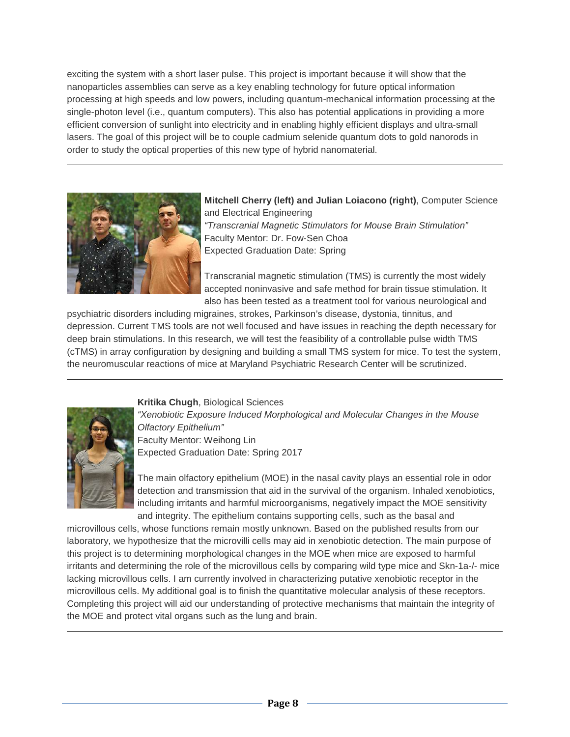exciting the system with a short laser pulse. This project is important because it will show that the nanoparticles assemblies can serve as a key enabling technology for future optical information processing at high speeds and low powers, including quantum-mechanical information processing at the single-photon level (i.e., quantum computers). This also has potential applications in providing a more efficient conversion of sunlight into electricity and in enabling highly efficient displays and ultra-small lasers. The goal of this project will be to couple cadmium selenide quantum dots to gold nanorods in order to study the optical properties of this new type of hybrid nanomaterial.



**Mitchell Cherry (left) and Julian Loiacono (right)**, Computer Science and Electrical Engineering *"Transcranial Magnetic Stimulators for Mouse Brain Stimulation"* Faculty Mentor: Dr. Fow-Sen Choa Expected Graduation Date: Spring

Transcranial magnetic stimulation (TMS) is currently the most widely accepted noninvasive and safe method for brain tissue stimulation. It also has been tested as a treatment tool for various neurological and

psychiatric disorders including migraines, strokes, Parkinson's disease, dystonia, tinnitus, and depression. Current TMS tools are not well focused and have issues in reaching the depth necessary for deep brain stimulations. In this research, we will test the feasibility of a controllable pulse width TMS (cTMS) in array configuration by designing and building a small TMS system for mice. To test the system, the neuromuscular reactions of mice at Maryland Psychiatric Research Center will be scrutinized.



**Kritika Chugh**, Biological Sciences *"Xenobiotic Exposure Induced Morphological and Molecular Changes in the Mouse Olfactory Epithelium"* Faculty Mentor: Weihong Lin Expected Graduation Date: Spring 2017

The main olfactory epithelium (MOE) in the nasal cavity plays an essential role in odor detection and transmission that aid in the survival of the organism. Inhaled xenobiotics, including irritants and harmful microorganisms, negatively impact the MOE sensitivity and integrity. The epithelium contains supporting cells, such as the basal and

microvillous cells, whose functions remain mostly unknown. Based on the published results from our laboratory, we hypothesize that the microvilli cells may aid in xenobiotic detection. The main purpose of this project is to determining morphological changes in the MOE when mice are exposed to harmful irritants and determining the role of the microvillous cells by comparing wild type mice and Skn-1a-/- mice lacking microvillous cells. I am currently involved in characterizing putative xenobiotic receptor in the microvillous cells. My additional goal is to finish the quantitative molecular analysis of these receptors. Completing this project will aid our understanding of protective mechanisms that maintain the integrity of the MOE and protect vital organs such as the lung and brain.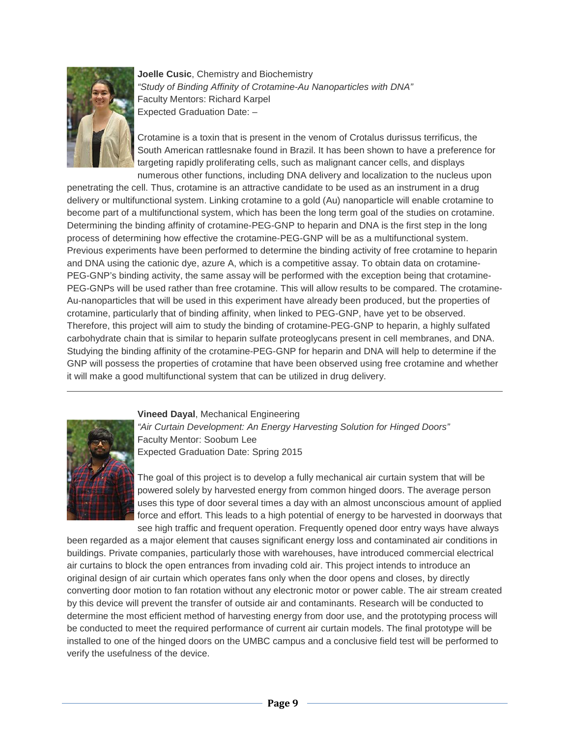

**Joelle Cusic**, Chemistry and Biochemistry *"Study of Binding Affinity of Crotamine-Au Nanoparticles with DNA"* Faculty Mentors: Richard Karpel Expected Graduation Date: –

Crotamine is a toxin that is present in the venom of Crotalus durissus terrificus, the South American rattlesnake found in Brazil. It has been shown to have a preference for targeting rapidly proliferating cells, such as malignant cancer cells, and displays numerous other functions, including DNA delivery and localization to the nucleus upon

penetrating the cell. Thus, crotamine is an attractive candidate to be used as an instrument in a drug delivery or multifunctional system. Linking crotamine to a gold (Au) nanoparticle will enable crotamine to become part of a multifunctional system, which has been the long term goal of the studies on crotamine. Determining the binding affinity of crotamine-PEG-GNP to heparin and DNA is the first step in the long process of determining how effective the crotamine-PEG-GNP will be as a multifunctional system. Previous experiments have been performed to determine the binding activity of free crotamine to heparin and DNA using the cationic dye, azure A, which is a competitive assay. To obtain data on crotamine-PEG-GNP's binding activity, the same assay will be performed with the exception being that crotamine-PEG-GNPs will be used rather than free crotamine. This will allow results to be compared. The crotamine-Au-nanoparticles that will be used in this experiment have already been produced, but the properties of crotamine, particularly that of binding affinity, when linked to PEG-GNP, have yet to be observed. Therefore, this project will aim to study the binding of crotamine-PEG-GNP to heparin, a highly sulfated carbohydrate chain that is similar to heparin sulfate proteoglycans present in cell membranes, and DNA. Studying the binding affinity of the crotamine-PEG-GNP for heparin and DNA will help to determine if the GNP will possess the properties of crotamine that have been observed using free crotamine and whether it will make a good multifunctional system that can be utilized in drug delivery.



**Vineed Dayal**, Mechanical Engineering

*"Air Curtain Development: An Energy Harvesting Solution for Hinged Doors"* Faculty Mentor: Soobum Lee Expected Graduation Date: Spring 2015

The goal of this project is to develop a fully mechanical air curtain system that will be powered solely by harvested energy from common hinged doors. The average person uses this type of door several times a day with an almost unconscious amount of applied force and effort. This leads to a high potential of energy to be harvested in doorways that see high traffic and frequent operation. Frequently opened door entry ways have always

been regarded as a major element that causes significant energy loss and contaminated air conditions in buildings. Private companies, particularly those with warehouses, have introduced commercial electrical air curtains to block the open entrances from invading cold air. This project intends to introduce an original design of air curtain which operates fans only when the door opens and closes, by directly converting door motion to fan rotation without any electronic motor or power cable. The air stream created by this device will prevent the transfer of outside air and contaminants. Research will be conducted to determine the most efficient method of harvesting energy from door use, and the prototyping process will be conducted to meet the required performance of current air curtain models. The final prototype will be installed to one of the hinged doors on the UMBC campus and a conclusive field test will be performed to verify the usefulness of the device.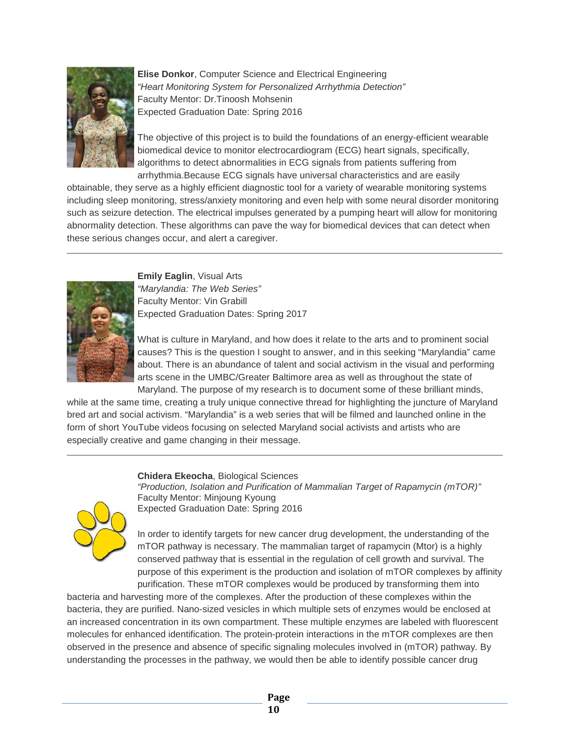

**Elise Donkor**, Computer Science and Electrical Engineering *"Heart Monitoring System for Personalized Arrhythmia Detection"* Faculty Mentor: Dr.Tinoosh Mohsenin Expected Graduation Date: Spring 2016

The objective of this project is to build the foundations of an energy-efficient wearable biomedical device to monitor electrocardiogram (ECG) heart signals, specifically, algorithms to detect abnormalities in ECG signals from patients suffering from arrhythmia.Because ECG signals have universal characteristics and are easily

obtainable, they serve as a highly efficient diagnostic tool for a variety of wearable monitoring systems including sleep monitoring, stress/anxiety monitoring and even help with some neural disorder monitoring such as seizure detection. The electrical impulses generated by a pumping heart will allow for monitoring abnormality detection. These algorithms can pave the way for biomedical devices that can detect when these serious changes occur, and alert a caregiver.



**Emily Eaglin**, Visual Arts *"Marylandia: The Web Series"* Faculty Mentor: Vin Grabill Expected Graduation Dates: Spring 2017

What is culture in Maryland, and how does it relate to the arts and to prominent social causes? This is the question I sought to answer, and in this seeking "Marylandia" came about. There is an abundance of talent and social activism in the visual and performing arts scene in the UMBC/Greater Baltimore area as well as throughout the state of Maryland. The purpose of my research is to document some of these brilliant minds,

while at the same time, creating a truly unique connective thread for highlighting the juncture of Maryland bred art and social activism. "Marylandia" is a web series that will be filmed and launched online in the form of short YouTube videos focusing on selected Maryland social activists and artists who are especially creative and game changing in their message.

#### **Chidera Ekeocha**, Biological Sciences



*"Production, Isolation and Purification of Mammalian Target of Rapamycin (mTOR)"* Faculty Mentor: Minjoung Kyoung Expected Graduation Date: Spring 2016

In order to identify targets for new cancer drug development, the understanding of the mTOR pathway is necessary. The mammalian target of rapamycin (Mtor) is a highly conserved pathway that is essential in the regulation of cell growth and survival. The purpose of this experiment is the production and isolation of mTOR complexes by affinity purification. These mTOR complexes would be produced by transforming them into

bacteria and harvesting more of the complexes. After the production of these complexes within the bacteria, they are purified. Nano-sized vesicles in which multiple sets of enzymes would be enclosed at an increased concentration in its own compartment. These multiple enzymes are labeled with fluorescent molecules for enhanced identification. The protein-protein interactions in the mTOR complexes are then observed in the presence and absence of specific signaling molecules involved in (mTOR) pathway. By understanding the processes in the pathway, we would then be able to identify possible cancer drug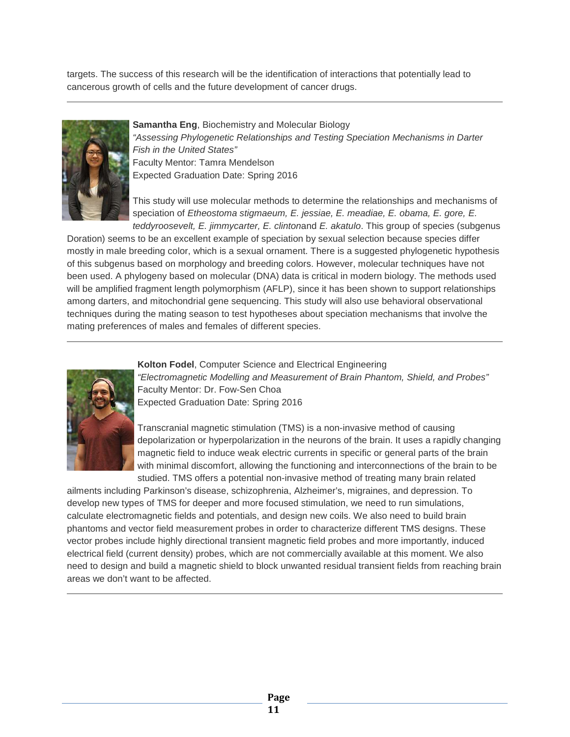targets. The success of this research will be the identification of interactions that potentially lead to cancerous growth of cells and the future development of cancer drugs.



#### **Samantha Eng**, Biochemistry and Molecular Biology *"Assessing Phylogenetic Relationships and Testing Speciation Mechanisms in Darter Fish in the United States"* Faculty Mentor: Tamra Mendelson Expected Graduation Date: Spring 2016

This study will use molecular methods to determine the relationships and mechanisms of speciation of *Etheostoma stigmaeum, E. jessiae, E. meadiae, E. obama, E. gore, E. teddyroosevelt, E. jimmycarter, E. clinton*and *E. akatulo*. This group of species (subgenus

Doration) seems to be an excellent example of speciation by sexual selection because species differ mostly in male breeding color, which is a sexual ornament. There is a suggested phylogenetic hypothesis of this subgenus based on morphology and breeding colors. However, molecular techniques have not been used. A phylogeny based on molecular (DNA) data is critical in modern biology. The methods used will be amplified fragment length polymorphism (AFLP), since it has been shown to support relationships among darters, and mitochondrial gene sequencing. This study will also use behavioral observational techniques during the mating season to test hypotheses about speciation mechanisms that involve the mating preferences of males and females of different species.

#### **Kolton Fodel**, Computer Science and Electrical Engineering



*"Electromagnetic Modelling and Measurement of Brain Phantom, Shield, and Probes"* Faculty Mentor: Dr. Fow-Sen Choa Expected Graduation Date: Spring 2016

Transcranial magnetic stimulation (TMS) is a non-invasive method of causing depolarization or hyperpolarization in the neurons of the brain. It uses a rapidly changing magnetic field to induce weak electric currents in specific or general parts of the brain with minimal discomfort, allowing the functioning and interconnections of the brain to be studied. TMS offers a potential non-invasive method of treating many brain related

ailments including Parkinson's disease, schizophrenia, Alzheimer's, migraines, and depression. To develop new types of TMS for deeper and more focused stimulation, we need to run simulations, calculate electromagnetic fields and potentials, and design new coils. We also need to build brain phantoms and vector field measurement probes in order to characterize different TMS designs. These vector probes include highly directional transient magnetic field probes and more importantly, induced electrical field (current density) probes, which are not commercially available at this moment. We also need to design and build a magnetic shield to block unwanted residual transient fields from reaching brain areas we don't want to be affected.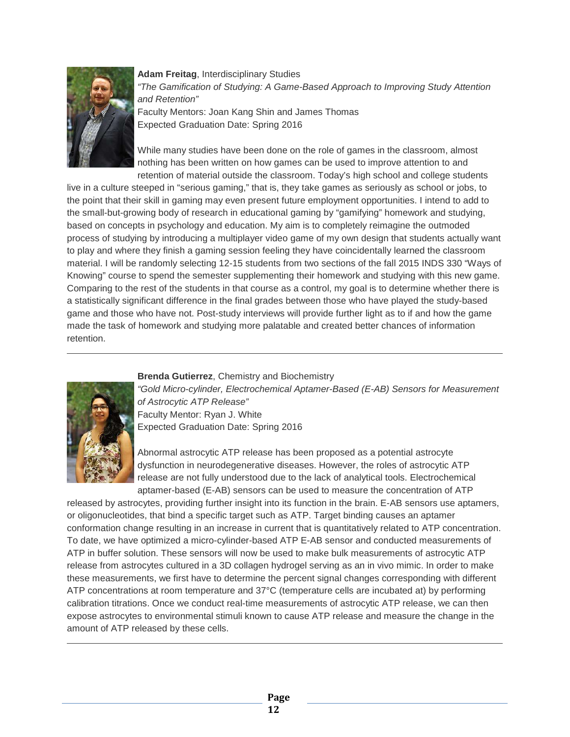

**Adam Freitag**, Interdisciplinary Studies *"The Gamification of Studying: A Game-Based Approach to Improving Study Attention and Retention"* Faculty Mentors: Joan Kang Shin and James Thomas Expected Graduation Date: Spring 2016

While many studies have been done on the role of games in the classroom, almost nothing has been written on how games can be used to improve attention to and retention of material outside the classroom. Today's high school and college students

live in a culture steeped in "serious gaming," that is, they take games as seriously as school or jobs, to the point that their skill in gaming may even present future employment opportunities. I intend to add to the small-but-growing body of research in educational gaming by "gamifying" homework and studying, based on concepts in psychology and education. My aim is to completely reimagine the outmoded process of studying by introducing a multiplayer video game of my own design that students actually want to play and where they finish a gaming session feeling they have coincidentally learned the classroom material. I will be randomly selecting 12-15 students from two sections of the fall 2015 INDS 330 "Ways of Knowing" course to spend the semester supplementing their homework and studying with this new game. Comparing to the rest of the students in that course as a control, my goal is to determine whether there is a statistically significant difference in the final grades between those who have played the study-based game and those who have not. Post-study interviews will provide further light as to if and how the game made the task of homework and studying more palatable and created better chances of information retention.

#### **Brenda Gutierrez**, Chemistry and Biochemistry



*"Gold Micro-cylinder, Electrochemical Aptamer-Based (E-AB) Sensors for Measurement of Astrocytic ATP Release"* Faculty Mentor: Ryan J. White Expected Graduation Date: Spring 2016

Abnormal astrocytic ATP release has been proposed as a potential astrocyte dysfunction in neurodegenerative diseases. However, the roles of astrocytic ATP release are not fully understood due to the lack of analytical tools. Electrochemical aptamer-based (E-AB) sensors can be used to measure the concentration of ATP

released by astrocytes, providing further insight into its function in the brain. E-AB sensors use aptamers, or oligonucleotides, that bind a specific target such as ATP. Target binding causes an aptamer conformation change resulting in an increase in current that is quantitatively related to ATP concentration. To date, we have optimized a micro-cylinder-based ATP E-AB sensor and conducted measurements of ATP in buffer solution. These sensors will now be used to make bulk measurements of astrocytic ATP release from astrocytes cultured in a 3D collagen hydrogel serving as an in vivo mimic. In order to make these measurements, we first have to determine the percent signal changes corresponding with different ATP concentrations at room temperature and 37°C (temperature cells are incubated at) by performing calibration titrations. Once we conduct real-time measurements of astrocytic ATP release, we can then expose astrocytes to environmental stimuli known to cause ATP release and measure the change in the amount of ATP released by these cells.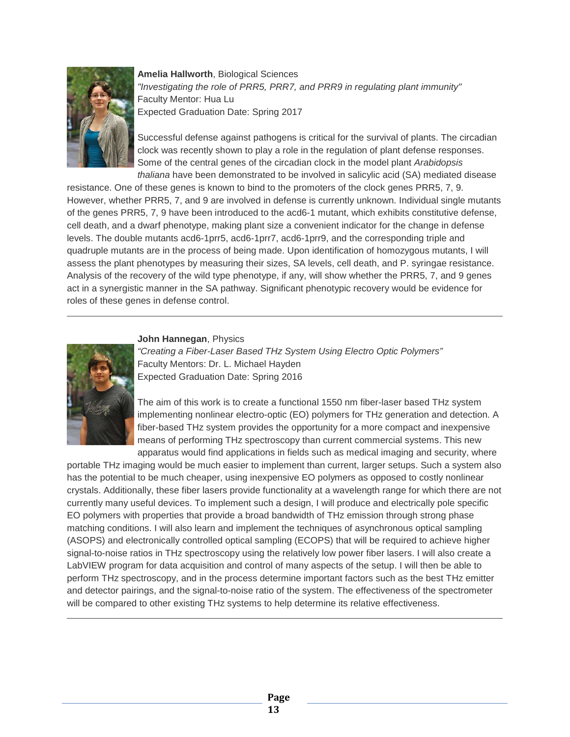

**Amelia Hallworth**, Biological Sciences *"Investigating the role of PRR5, PRR7, and PRR9 in regulating plant immunity"* Faculty Mentor: Hua Lu Expected Graduation Date: Spring 2017

Successful defense against pathogens is critical for the survival of plants. The circadian clock was recently shown to play a role in the regulation of plant defense responses. Some of the central genes of the circadian clock in the model plant *Arabidopsis thaliana* have been demonstrated to be involved in salicylic acid (SA) mediated disease

resistance. One of these genes is known to bind to the promoters of the clock genes PRR5, 7, 9. However, whether PRR5, 7, and 9 are involved in defense is currently unknown. Individual single mutants of the genes PRR5, 7, 9 have been introduced to the acd6-1 mutant, which exhibits constitutive defense, cell death, and a dwarf phenotype, making plant size a convenient indicator for the change in defense levels. The double mutants acd6-1prr5, acd6-1prr7, acd6-1prr9, and the corresponding triple and quadruple mutants are in the process of being made. Upon identification of homozygous mutants, I will assess the plant phenotypes by measuring their sizes, SA levels, cell death, and P. syringae resistance. Analysis of the recovery of the wild type phenotype, if any, will show whether the PRR5, 7, and 9 genes act in a synergistic manner in the SA pathway. Significant phenotypic recovery would be evidence for roles of these genes in defense control.



#### **John Hannegan**, Physics

*"Creating a Fiber-Laser Based THz System Using Electro Optic Polymers"* Faculty Mentors: Dr. L. Michael Hayden Expected Graduation Date: Spring 2016

The aim of this work is to create a functional 1550 nm fiber-laser based THz system implementing nonlinear electro-optic (EO) polymers for THz generation and detection. A fiber-based THz system provides the opportunity for a more compact and inexpensive means of performing THz spectroscopy than current commercial systems. This new apparatus would find applications in fields such as medical imaging and security, where

portable THz imaging would be much easier to implement than current, larger setups. Such a system also has the potential to be much cheaper, using inexpensive EO polymers as opposed to costly nonlinear crystals. Additionally, these fiber lasers provide functionality at a wavelength range for which there are not currently many useful devices. To implement such a design, I will produce and electrically pole specific EO polymers with properties that provide a broad bandwidth of THz emission through strong phase matching conditions. I will also learn and implement the techniques of asynchronous optical sampling (ASOPS) and electronically controlled optical sampling (ECOPS) that will be required to achieve higher signal-to-noise ratios in THz spectroscopy using the relatively low power fiber lasers. I will also create a LabVIEW program for data acquisition and control of many aspects of the setup. I will then be able to perform THz spectroscopy, and in the process determine important factors such as the best THz emitter and detector pairings, and the signal-to-noise ratio of the system. The effectiveness of the spectrometer will be compared to other existing THz systems to help determine its relative effectiveness.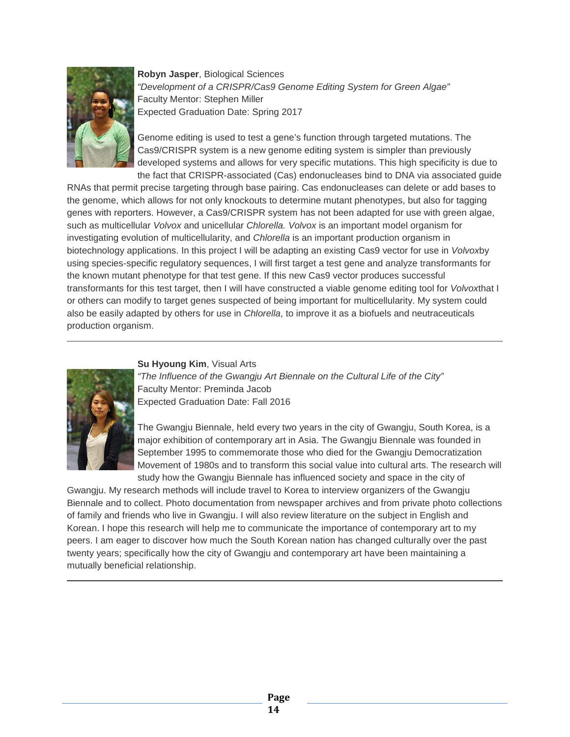

**Robyn Jasper**, Biological Sciences *"Development of a CRISPR/Cas9 Genome Editing System for Green Algae"* Faculty Mentor: Stephen Miller Expected Graduation Date: Spring 2017

Genome editing is used to test a gene's function through targeted mutations. The Cas9/CRISPR system is a new genome editing system is simpler than previously developed systems and allows for very specific mutations. This high specificity is due to the fact that CRISPR-associated (Cas) endonucleases bind to DNA via associated guide

RNAs that permit precise targeting through base pairing. Cas endonucleases can delete or add bases to the genome, which allows for not only knockouts to determine mutant phenotypes, but also for tagging genes with reporters. However, a Cas9/CRISPR system has not been adapted for use with green algae, such as multicellular *Volvox* and unicellular *Chlorella. Volvox* is an important model organism for investigating evolution of multicellularity, and *Chlorella* is an important production organism in biotechnology applications. In this project I will be adapting an existing Cas9 vector for use in *Volvox*by using species-specific regulatory sequences, I will first target a test gene and analyze transformants for the known mutant phenotype for that test gene. If this new Cas9 vector produces successful transformants for this test target, then I will have constructed a viable genome editing tool for *Volvox*that I or others can modify to target genes suspected of being important for multicellularity. My system could also be easily adapted by others for use in *Chlorella*, to improve it as a biofuels and neutraceuticals production organism.

#### **Su Hyoung Kim**, Visual Arts



*"The Influence of the Gwangju Art Biennale on the Cultural Life of the City"* Faculty Mentor: Preminda Jacob Expected Graduation Date: Fall 2016

The Gwangju Biennale, held every two years in the city of Gwangju, South Korea, is a major exhibition of contemporary art in Asia. The Gwangju Biennale was founded in September 1995 to commemorate those who died for the Gwangju Democratization Movement of 1980s and to transform this social value into cultural arts. The research will study how the Gwangju Biennale has influenced society and space in the city of

Gwangju. My research methods will include travel to Korea to interview organizers of the Gwangju Biennale and to collect. Photo documentation from newspaper archives and from private photo collections of family and friends who live in Gwangju. I will also review literature on the subject in English and Korean. I hope this research will help me to communicate the importance of contemporary art to my peers. I am eager to discover how much the South Korean nation has changed culturally over the past twenty years; specifically how the city of Gwangju and contemporary art have been maintaining a mutually beneficial relationship.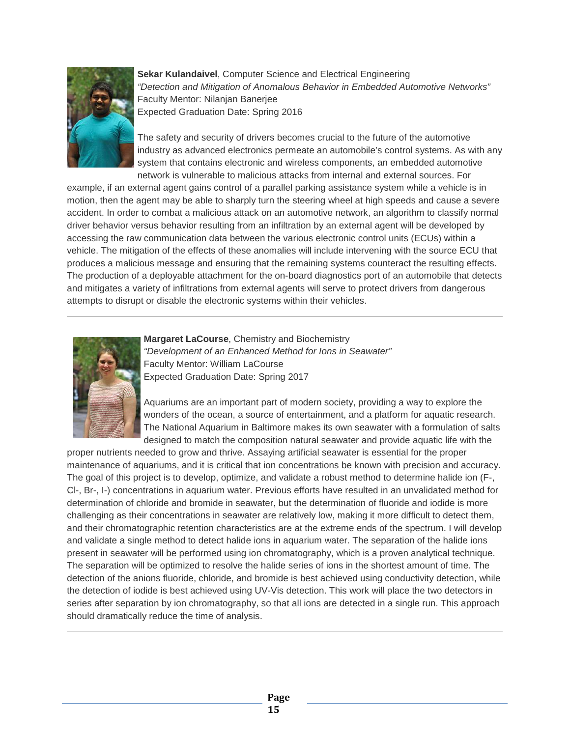

**Sekar Kulandaivel**, Computer Science and Electrical Engineering *"Detection and Mitigation of Anomalous Behavior in Embedded Automotive Networks"* Faculty Mentor: Nilanjan Banerjee Expected Graduation Date: Spring 2016

The safety and security of drivers becomes crucial to the future of the automotive industry as advanced electronics permeate an automobile's control systems. As with any system that contains electronic and wireless components, an embedded automotive network is vulnerable to malicious attacks from internal and external sources. For

example, if an external agent gains control of a parallel parking assistance system while a vehicle is in motion, then the agent may be able to sharply turn the steering wheel at high speeds and cause a severe accident. In order to combat a malicious attack on an automotive network, an algorithm to classify normal driver behavior versus behavior resulting from an infiltration by an external agent will be developed by accessing the raw communication data between the various electronic control units (ECUs) within a vehicle. The mitigation of the effects of these anomalies will include intervening with the source ECU that produces a malicious message and ensuring that the remaining systems counteract the resulting effects. The production of a deployable attachment for the on-board diagnostics port of an automobile that detects and mitigates a variety of infiltrations from external agents will serve to protect drivers from dangerous attempts to disrupt or disable the electronic systems within their vehicles.



**Margaret LaCourse**, Chemistry and Biochemistry *"Development of an Enhanced Method for Ions in Seawater"* Faculty Mentor: William LaCourse Expected Graduation Date: Spring 2017

Aquariums are an important part of modern society, providing a way to explore the wonders of the ocean, a source of entertainment, and a platform for aquatic research. The National Aquarium in Baltimore makes its own seawater with a formulation of salts designed to match the composition natural seawater and provide aquatic life with the

proper nutrients needed to grow and thrive. Assaying artificial seawater is essential for the proper maintenance of aquariums, and it is critical that ion concentrations be known with precision and accuracy. The goal of this project is to develop, optimize, and validate a robust method to determine halide ion (F-, Cl-, Br-, I-) concentrations in aquarium water. Previous efforts have resulted in an unvalidated method for determination of chloride and bromide in seawater, but the determination of fluoride and iodide is more challenging as their concentrations in seawater are relatively low, making it more difficult to detect them, and their chromatographic retention characteristics are at the extreme ends of the spectrum. I will develop and validate a single method to detect halide ions in aquarium water. The separation of the halide ions present in seawater will be performed using ion chromatography, which is a proven analytical technique. The separation will be optimized to resolve the halide series of ions in the shortest amount of time. The detection of the anions fluoride, chloride, and bromide is best achieved using conductivity detection, while the detection of iodide is best achieved using UV-Vis detection. This work will place the two detectors in series after separation by ion chromatography, so that all ions are detected in a single run. This approach should dramatically reduce the time of analysis.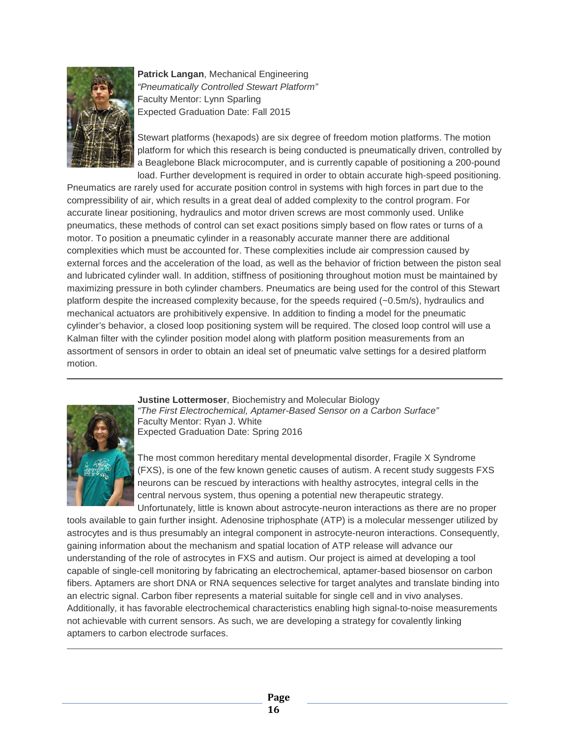

**Patrick Langan**, Mechanical Engineering *"Pneumatically Controlled Stewart Platform"* Faculty Mentor: Lynn Sparling Expected Graduation Date: Fall 2015

Stewart platforms (hexapods) are six degree of freedom motion platforms. The motion platform for which this research is being conducted is pneumatically driven, controlled by a Beaglebone Black microcomputer, and is currently capable of positioning a 200-pound load. Further development is required in order to obtain accurate high-speed positioning.

Pneumatics are rarely used for accurate position control in systems with high forces in part due to the compressibility of air, which results in a great deal of added complexity to the control program. For accurate linear positioning, hydraulics and motor driven screws are most commonly used. Unlike pneumatics, these methods of control can set exact positions simply based on flow rates or turns of a motor. To position a pneumatic cylinder in a reasonably accurate manner there are additional complexities which must be accounted for. These complexities include air compression caused by external forces and the acceleration of the load, as well as the behavior of friction between the piston seal and lubricated cylinder wall. In addition, stiffness of positioning throughout motion must be maintained by maximizing pressure in both cylinder chambers. Pneumatics are being used for the control of this Stewart platform despite the increased complexity because, for the speeds required (~0.5m/s), hydraulics and mechanical actuators are prohibitively expensive. In addition to finding a model for the pneumatic cylinder's behavior, a closed loop positioning system will be required. The closed loop control will use a Kalman filter with the cylinder position model along with platform position measurements from an assortment of sensors in order to obtain an ideal set of pneumatic valve settings for a desired platform motion.



**Justine Lottermoser**, Biochemistry and Molecular Biology *"The First Electrochemical, Aptamer-Based Sensor on a Carbon Surface"* Faculty Mentor: Ryan J. White Expected Graduation Date: Spring 2016

The most common hereditary mental developmental disorder, Fragile X Syndrome (FXS), is one of the few known genetic causes of autism. A recent study suggests FXS neurons can be rescued by interactions with healthy astrocytes, integral cells in the central nervous system, thus opening a potential new therapeutic strategy. Unfortunately, little is known about astrocyte-neuron interactions as there are no proper

tools available to gain further insight. Adenosine triphosphate (ATP) is a molecular messenger utilized by astrocytes and is thus presumably an integral component in astrocyte-neuron interactions. Consequently, gaining information about the mechanism and spatial location of ATP release will advance our understanding of the role of astrocytes in FXS and autism. Our project is aimed at developing a tool capable of single-cell monitoring by fabricating an electrochemical, aptamer-based biosensor on carbon fibers. Aptamers are short DNA or RNA sequences selective for target analytes and translate binding into an electric signal. Carbon fiber represents a material suitable for single cell and in vivo analyses. Additionally, it has favorable electrochemical characteristics enabling high signal-to-noise measurements not achievable with current sensors. As such, we are developing a strategy for covalently linking aptamers to carbon electrode surfaces.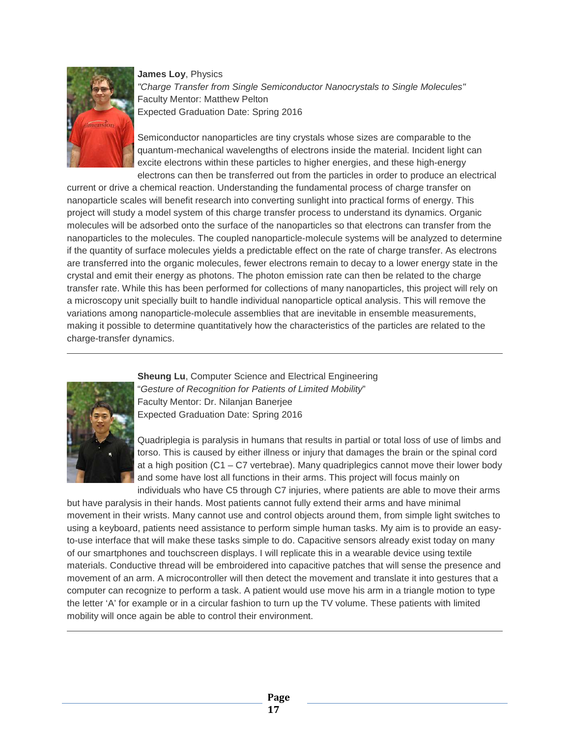

**James Loy**, Physics *"Charge Transfer from Single Semiconductor Nanocrystals to Single Molecules"* Faculty Mentor: Matthew Pelton Expected Graduation Date: Spring 2016

Semiconductor nanoparticles are tiny crystals whose sizes are comparable to the quantum-mechanical wavelengths of electrons inside the material. Incident light can excite electrons within these particles to higher energies, and these high-energy electrons can then be transferred out from the particles in order to produce an electrical

current or drive a chemical reaction. Understanding the fundamental process of charge transfer on nanoparticle scales will benefit research into converting sunlight into practical forms of energy. This project will study a model system of this charge transfer process to understand its dynamics. Organic molecules will be adsorbed onto the surface of the nanoparticles so that electrons can transfer from the nanoparticles to the molecules. The coupled nanoparticle-molecule systems will be analyzed to determine if the quantity of surface molecules yields a predictable effect on the rate of charge transfer. As electrons are transferred into the organic molecules, fewer electrons remain to decay to a lower energy state in the crystal and emit their energy as photons. The photon emission rate can then be related to the charge transfer rate. While this has been performed for collections of many nanoparticles, this project will rely on a microscopy unit specially built to handle individual nanoparticle optical analysis. This will remove the variations among nanoparticle-molecule assemblies that are inevitable in ensemble measurements, making it possible to determine quantitatively how the characteristics of the particles are related to the charge-transfer dynamics.



**Sheung Lu, Computer Science and Electrical Engineering** "*Gesture of Recognition for Patients of Limited Mobility*" Faculty Mentor: Dr. Nilanjan Banerjee Expected Graduation Date: Spring 2016

Quadriplegia is paralysis in humans that results in partial or total loss of use of limbs and torso. This is caused by either illness or injury that damages the brain or the spinal cord at a high position (C1 – C7 vertebrae). Many quadriplegics cannot move their lower body and some have lost all functions in their arms. This project will focus mainly on individuals who have C5 through C7 injuries, where patients are able to move their arms

but have paralysis in their hands. Most patients cannot fully extend their arms and have minimal movement in their wrists. Many cannot use and control objects around them, from simple light switches to using a keyboard, patients need assistance to perform simple human tasks. My aim is to provide an easyto-use interface that will make these tasks simple to do. Capacitive sensors already exist today on many of our smartphones and touchscreen displays. I will replicate this in a wearable device using textile materials. Conductive thread will be embroidered into capacitive patches that will sense the presence and movement of an arm. A microcontroller will then detect the movement and translate it into gestures that a computer can recognize to perform a task. A patient would use move his arm in a triangle motion to type the letter 'A' for example or in a circular fashion to turn up the TV volume. These patients with limited mobility will once again be able to control their environment.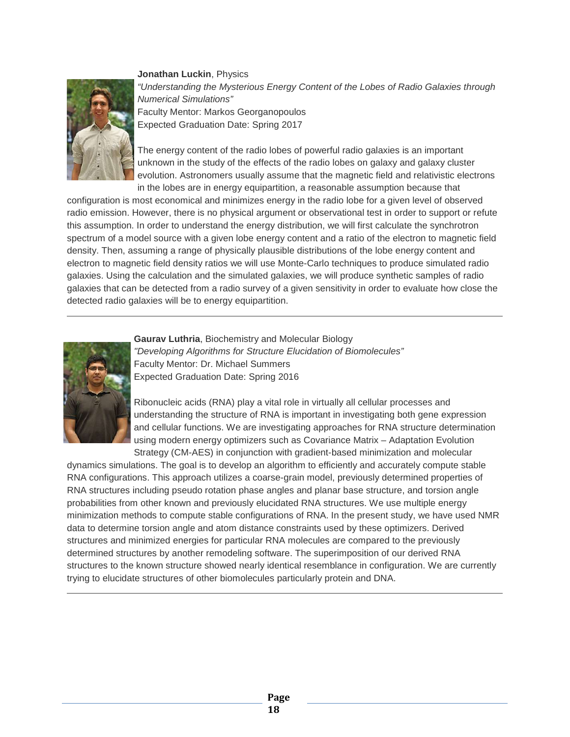

**Jonathan Luckin**, Physics *"Understanding the Mysterious Energy Content of the Lobes of Radio Galaxies through Numerical Simulations"* Faculty Mentor: Markos Georganopoulos Expected Graduation Date: Spring 2017

The energy content of the radio lobes of powerful radio galaxies is an important unknown in the study of the effects of the radio lobes on galaxy and galaxy cluster evolution. Astronomers usually assume that the magnetic field and relativistic electrons in the lobes are in energy equipartition, a reasonable assumption because that

configuration is most economical and minimizes energy in the radio lobe for a given level of observed radio emission. However, there is no physical argument or observational test in order to support or refute this assumption. In order to understand the energy distribution, we will first calculate the synchrotron spectrum of a model source with a given lobe energy content and a ratio of the electron to magnetic field density. Then, assuming a range of physically plausible distributions of the lobe energy content and electron to magnetic field density ratios we will use Monte-Carlo techniques to produce simulated radio galaxies. Using the calculation and the simulated galaxies, we will produce synthetic samples of radio galaxies that can be detected from a radio survey of a given sensitivity in order to evaluate how close the detected radio galaxies will be to energy equipartition.



**Gaurav Luthria**, Biochemistry and Molecular Biology *"Developing Algorithms for Structure Elucidation of Biomolecules"* Faculty Mentor: Dr. Michael Summers Expected Graduation Date: Spring 2016

Ribonucleic acids (RNA) play a vital role in virtually all cellular processes and understanding the structure of RNA is important in investigating both gene expression and cellular functions. We are investigating approaches for RNA structure determination using modern energy optimizers such as Covariance Matrix – Adaptation Evolution Strategy (CM-AES) in conjunction with gradient-based minimization and molecular

dynamics simulations. The goal is to develop an algorithm to efficiently and accurately compute stable RNA configurations. This approach utilizes a coarse-grain model, previously determined properties of RNA structures including pseudo rotation phase angles and planar base structure, and torsion angle probabilities from other known and previously elucidated RNA structures. We use multiple energy minimization methods to compute stable configurations of RNA. In the present study, we have used NMR data to determine torsion angle and atom distance constraints used by these optimizers. Derived structures and minimized energies for particular RNA molecules are compared to the previously determined structures by another remodeling software. The superimposition of our derived RNA structures to the known structure showed nearly identical resemblance in configuration. We are currently trying to elucidate structures of other biomolecules particularly protein and DNA.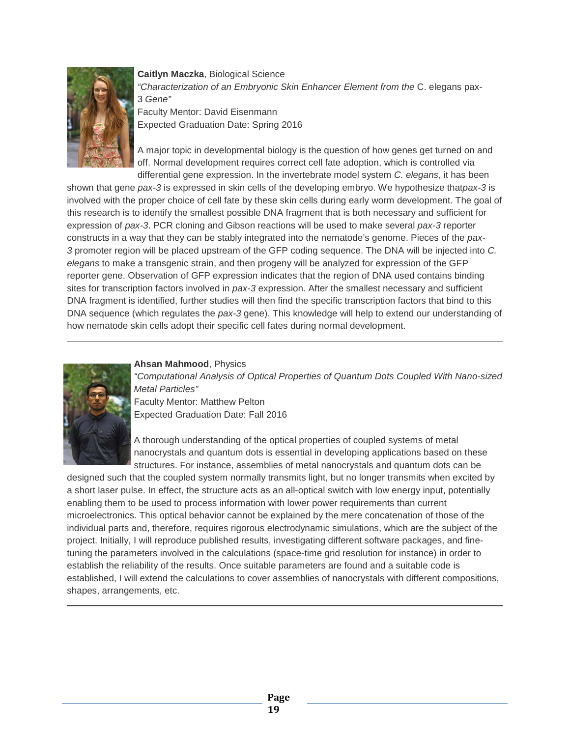

**Caitlyn Maczka**, Biological Science *"Characterization of an Embryonic Skin Enhancer Element from the* C. elegans pax-3 *Gene"* Faculty Mentor: David Eisenmann Expected Graduation Date: Spring 2016

A major topic in developmental biology is the question of how genes get turned on and off. Normal development requires correct cell fate adoption, which is controlled via differential gene expression. In the invertebrate model system *C. elegans*, it has been

shown that gene *pax-3* is expressed in skin cells of the developing embryo. We hypothesize that*pax-3* is involved with the proper choice of cell fate by these skin cells during early worm development. The goal of this research is to identify the smallest possible DNA fragment that is both necessary and sufficient for expression of *pax-3*. PCR cloning and Gibson reactions will be used to make several *pax-3* reporter constructs in a way that they can be stably integrated into the nematode's genome. Pieces of the *pax-3* promoter region will be placed upstream of the GFP coding sequence. The DNA will be injected into *C. elegans* to make a transgenic strain, and then progeny will be analyzed for expression of the GFP reporter gene. Observation of GFP expression indicates that the region of DNA used contains binding sites for transcription factors involved in *pax-3* expression. After the smallest necessary and sufficient DNA fragment is identified, further studies will then find the specific transcription factors that bind to this DNA sequence (which regulates the *pax-3* gene). This knowledge will help to extend our understanding of how nematode skin cells adopt their specific cell fates during normal development.

#### **Ahsan Mahmood**, Physics

*"Computational Analysis of Optical Properties of Quantum Dots Coupled With Nano-sized Metal Particles"* Faculty Mentor: Matthew Pelton

Expected Graduation Date: Fall 2016

A thorough understanding of the optical properties of coupled systems of metal nanocrystals and quantum dots is essential in developing applications based on these structures. For instance, assemblies of metal nanocrystals and quantum dots can be

designed such that the coupled system normally transmits light, but no longer transmits when excited by a short laser pulse. In effect, the structure acts as an all-optical switch with low energy input, potentially enabling them to be used to process information with lower power requirements than current microelectronics. This optical behavior cannot be explained by the mere concatenation of those of the individual parts and, therefore, requires rigorous electrodynamic simulations, which are the subject of the project. Initially, I will reproduce published results, investigating different software packages, and finetuning the parameters involved in the calculations (space-time grid resolution for instance) in order to establish the reliability of the results. Once suitable parameters are found and a suitable code is established, I will extend the calculations to cover assemblies of nanocrystals with different compositions, shapes, arrangements, etc.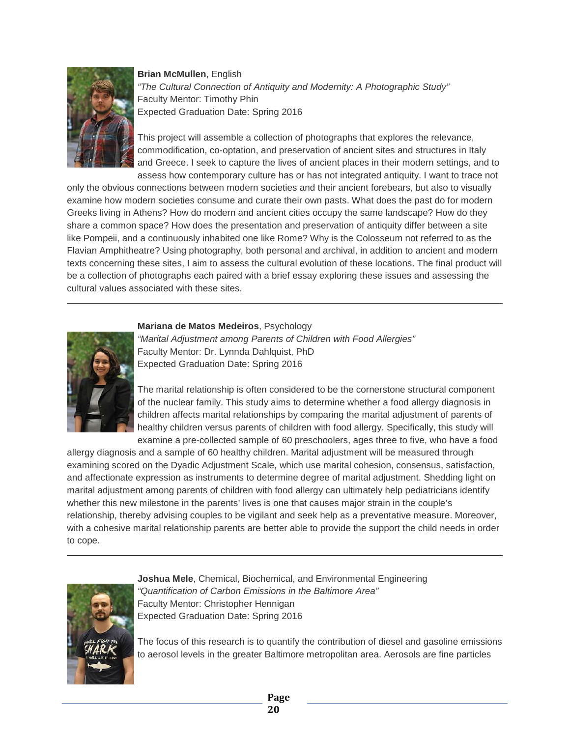#### **Brian McMullen**, English



*"The Cultural Connection of Antiquity and Modernity: A Photographic Study"* Faculty Mentor: Timothy Phin Expected Graduation Date: Spring 2016

This project will assemble a collection of photographs that explores the relevance, commodification, co-optation, and preservation of ancient sites and structures in Italy and Greece. I seek to capture the lives of ancient places in their modern settings, and to assess how contemporary culture has or has not integrated antiquity. I want to trace not

only the obvious connections between modern societies and their ancient forebears, but also to visually examine how modern societies consume and curate their own pasts. What does the past do for modern Greeks living in Athens? How do modern and ancient cities occupy the same landscape? How do they share a common space? How does the presentation and preservation of antiquity differ between a site like Pompeii, and a continuously inhabited one like Rome? Why is the Colosseum not referred to as the Flavian Amphitheatre? Using photography, both personal and archival, in addition to ancient and modern texts concerning these sites, I aim to assess the cultural evolution of these locations. The final product will be a collection of photographs each paired with a brief essay exploring these issues and assessing the cultural values associated with these sites.



#### **Mariana de Matos Medeiros**, Psychology

*"Marital Adjustment among Parents of Children with Food Allergies"* Faculty Mentor: Dr. Lynnda Dahlquist, PhD Expected Graduation Date: Spring 2016

The marital relationship is often considered to be the cornerstone structural component of the nuclear family. This study aims to determine whether a food allergy diagnosis in children affects marital relationships by comparing the marital adjustment of parents of healthy children versus parents of children with food allergy. Specifically, this study will examine a pre-collected sample of 60 preschoolers, ages three to five, who have a food

allergy diagnosis and a sample of 60 healthy children. Marital adjustment will be measured through examining scored on the Dyadic Adjustment Scale, which use marital cohesion, consensus, satisfaction, and affectionate expression as instruments to determine degree of marital adjustment. Shedding light on marital adjustment among parents of children with food allergy can ultimately help pediatricians identify whether this new milestone in the parents' lives is one that causes major strain in the couple's relationship, thereby advising couples to be vigilant and seek help as a preventative measure. Moreover, with a cohesive marital relationship parents are better able to provide the support the child needs in order to cope.



**Joshua Mele**, Chemical, Biochemical, and Environmental Engineering *"Quantification of Carbon Emissions in the Baltimore Area"* Faculty Mentor: Christopher Hennigan Expected Graduation Date: Spring 2016

The focus of this research is to quantify the contribution of diesel and gasoline emissions to aerosol levels in the greater Baltimore metropolitan area. Aerosols are fine particles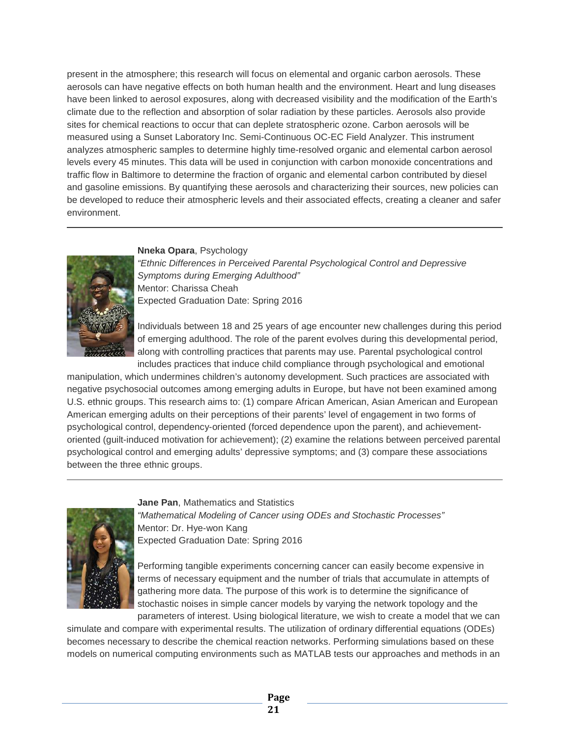present in the atmosphere; this research will focus on elemental and organic carbon aerosols. These aerosols can have negative effects on both human health and the environment. Heart and lung diseases have been linked to aerosol exposures, along with decreased visibility and the modification of the Earth's climate due to the reflection and absorption of solar radiation by these particles. Aerosols also provide sites for chemical reactions to occur that can deplete stratospheric ozone. Carbon aerosols will be measured using a Sunset Laboratory Inc. Semi-Continuous OC-EC Field Analyzer. This instrument analyzes atmospheric samples to determine highly time-resolved organic and elemental carbon aerosol levels every 45 minutes. This data will be used in conjunction with carbon monoxide concentrations and traffic flow in Baltimore to determine the fraction of organic and elemental carbon contributed by diesel and gasoline emissions. By quantifying these aerosols and characterizing their sources, new policies can be developed to reduce their atmospheric levels and their associated effects, creating a cleaner and safer environment.

### **Nneka Opara**, Psychology



*"Ethnic Differences in Perceived Parental Psychological Control and Depressive Symptoms during Emerging Adulthood"* Mentor: Charissa Cheah Expected Graduation Date: Spring 2016

Individuals between 18 and 25 years of age encounter new challenges during this period of emerging adulthood. The role of the parent evolves during this developmental period, along with controlling practices that parents may use. Parental psychological control includes practices that induce child compliance through psychological and emotional

manipulation, which undermines children's autonomy development. Such practices are associated with negative psychosocial outcomes among emerging adults in Europe, but have not been examined among U.S. ethnic groups. This research aims to: (1) compare African American, Asian American and European American emerging adults on their perceptions of their parents' level of engagement in two forms of psychological control, dependency-oriented (forced dependence upon the parent), and achievementoriented (guilt-induced motivation for achievement); (2) examine the relations between perceived parental psychological control and emerging adults' depressive symptoms; and (3) compare these associations between the three ethnic groups.

#### **Jane Pan**, Mathematics and Statistics



*"Mathematical Modeling of Cancer using ODEs and Stochastic Processes"* Mentor: Dr. Hye-won Kang Expected Graduation Date: Spring 2016

Performing tangible experiments concerning cancer can easily become expensive in terms of necessary equipment and the number of trials that accumulate in attempts of gathering more data. The purpose of this work is to determine the significance of stochastic noises in simple cancer models by varying the network topology and the parameters of interest. Using biological literature, we wish to create a model that we can

simulate and compare with experimental results. The utilization of ordinary differential equations (ODEs) becomes necessary to describe the chemical reaction networks. Performing simulations based on these models on numerical computing environments such as MATLAB tests our approaches and methods in an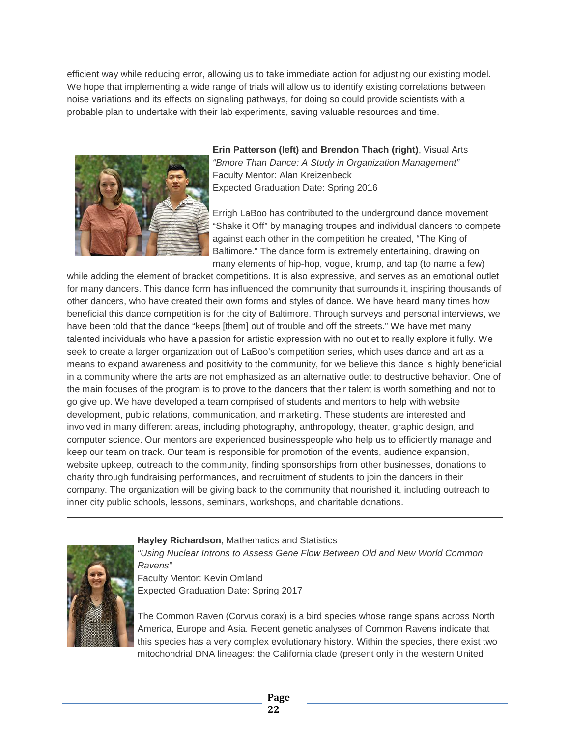efficient way while reducing error, allowing us to take immediate action for adjusting our existing model. We hope that implementing a wide range of trials will allow us to identify existing correlations between noise variations and its effects on signaling pathways, for doing so could provide scientists with a probable plan to undertake with their lab experiments, saving valuable resources and time.



**Erin Patterson (left) and Brendon Thach (right)**, Visual Arts *"Bmore Than Dance: A Study in Organization Management"* Faculty Mentor: Alan Kreizenbeck Expected Graduation Date: Spring 2016

Errigh LaBoo has contributed to the underground dance movement "Shake it Off" by managing troupes and individual dancers to compete against each other in the competition he created, "The King of Baltimore." The dance form is extremely entertaining, drawing on many elements of hip-hop, vogue, krump, and tap (to name a few)

while adding the element of bracket competitions. It is also expressive, and serves as an emotional outlet for many dancers. This dance form has influenced the community that surrounds it, inspiring thousands of other dancers, who have created their own forms and styles of dance. We have heard many times how beneficial this dance competition is for the city of Baltimore. Through surveys and personal interviews, we have been told that the dance "keeps [them] out of trouble and off the streets." We have met many talented individuals who have a passion for artistic expression with no outlet to really explore it fully. We seek to create a larger organization out of LaBoo's competition series, which uses dance and art as a means to expand awareness and positivity to the community, for we believe this dance is highly beneficial in a community where the arts are not emphasized as an alternative outlet to destructive behavior. One of the main focuses of the program is to prove to the dancers that their talent is worth something and not to go give up. We have developed a team comprised of students and mentors to help with website development, public relations, communication, and marketing. These students are interested and involved in many different areas, including photography, anthropology, theater, graphic design, and computer science. Our mentors are experienced businesspeople who help us to efficiently manage and keep our team on track. Our team is responsible for promotion of the events, audience expansion, website upkeep, outreach to the community, finding sponsorships from other businesses, donations to charity through fundraising performances, and recruitment of students to join the dancers in their company. The organization will be giving back to the community that nourished it, including outreach to inner city public schools, lessons, seminars, workshops, and charitable donations.



#### **Hayley Richardson**, Mathematics and Statistics

*"Using Nuclear Introns to Assess Gene Flow Between Old and New World Common Ravens"* Faculty Mentor: Kevin Omland Expected Graduation Date: Spring 2017

The Common Raven (Corvus corax) is a bird species whose range spans across North America, Europe and Asia. Recent genetic analyses of Common Ravens indicate that this species has a very complex evolutionary history. Within the species, there exist two mitochondrial DNA lineages: the California clade (present only in the western United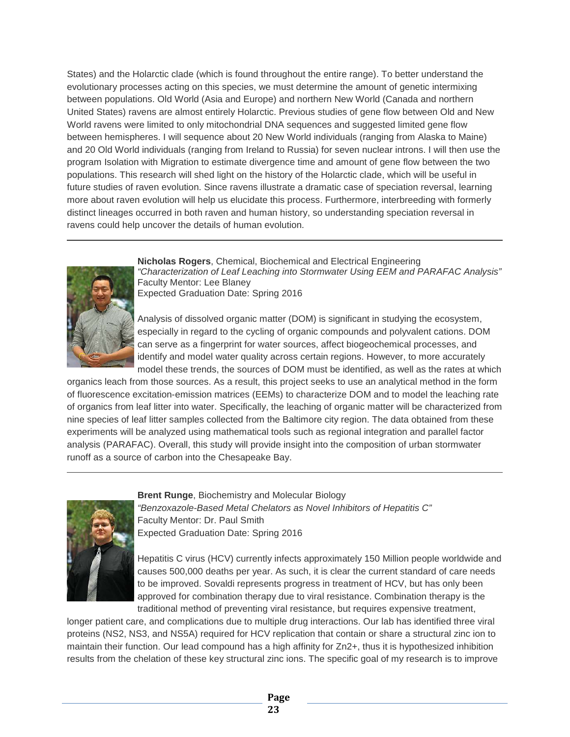States) and the Holarctic clade (which is found throughout the entire range). To better understand the evolutionary processes acting on this species, we must determine the amount of genetic intermixing between populations. Old World (Asia and Europe) and northern New World (Canada and northern United States) ravens are almost entirely Holarctic. Previous studies of gene flow between Old and New World ravens were limited to only mitochondrial DNA sequences and suggested limited gene flow between hemispheres. I will sequence about 20 New World individuals (ranging from Alaska to Maine) and 20 Old World individuals (ranging from Ireland to Russia) for seven nuclear introns. I will then use the program Isolation with Migration to estimate divergence time and amount of gene flow between the two populations. This research will shed light on the history of the Holarctic clade, which will be useful in future studies of raven evolution. Since ravens illustrate a dramatic case of speciation reversal, learning more about raven evolution will help us elucidate this process. Furthermore, interbreeding with formerly distinct lineages occurred in both raven and human history, so understanding speciation reversal in ravens could help uncover the details of human evolution.



**Nicholas Rogers**, Chemical, Biochemical and Electrical Engineering *"Characterization of Leaf Leaching into Stormwater Using EEM and PARAFAC Analysis"* Faculty Mentor: Lee Blaney Expected Graduation Date: Spring 2016

Analysis of dissolved organic matter (DOM) is significant in studying the ecosystem, especially in regard to the cycling of organic compounds and polyvalent cations. DOM can serve as a fingerprint for water sources, affect biogeochemical processes, and identify and model water quality across certain regions. However, to more accurately model these trends, the sources of DOM must be identified, as well as the rates at which

organics leach from those sources. As a result, this project seeks to use an analytical method in the form of fluorescence excitation-emission matrices (EEMs) to characterize DOM and to model the leaching rate of organics from leaf litter into water. Specifically, the leaching of organic matter will be characterized from nine species of leaf litter samples collected from the Baltimore city region. The data obtained from these experiments will be analyzed using mathematical tools such as regional integration and parallel factor analysis (PARAFAC). Overall, this study will provide insight into the composition of urban stormwater runoff as a source of carbon into the Chesapeake Bay.



**Brent Runge**, Biochemistry and Molecular Biology

*"Benzoxazole-Based Metal Chelators as Novel Inhibitors of Hepatitis C"* Faculty Mentor: Dr. Paul Smith Expected Graduation Date: Spring 2016

Hepatitis C virus (HCV) currently infects approximately 150 Million people worldwide and causes 500,000 deaths per year. As such, it is clear the current standard of care needs to be improved. Sovaldi represents progress in treatment of HCV, but has only been approved for combination therapy due to viral resistance. Combination therapy is the traditional method of preventing viral resistance, but requires expensive treatment,

longer patient care, and complications due to multiple drug interactions. Our lab has identified three viral proteins (NS2, NS3, and NS5A) required for HCV replication that contain or share a structural zinc ion to maintain their function. Our lead compound has a high affinity for Zn2+, thus it is hypothesized inhibition results from the chelation of these key structural zinc ions. The specific goal of my research is to improve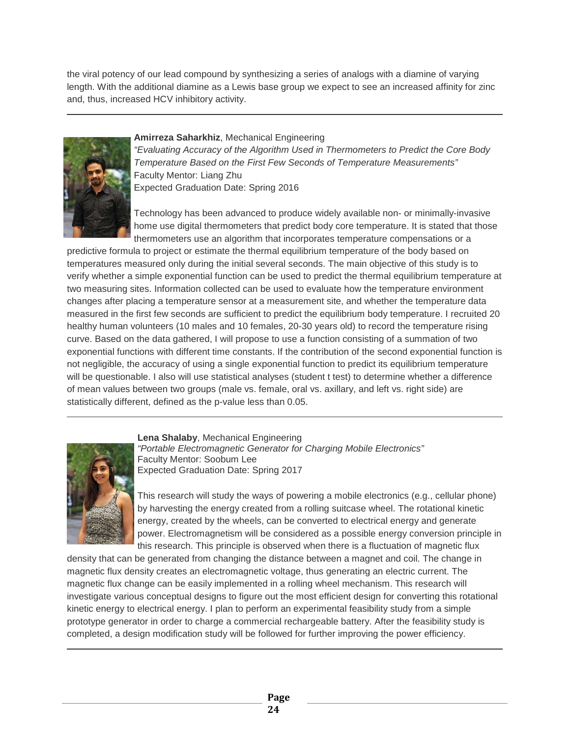the viral potency of our lead compound by synthesizing a series of analogs with a diamine of varying length. With the additional diamine as a Lewis base group we expect to see an increased affinity for zinc and, thus, increased HCV inhibitory activity.



#### **Amirreza Saharkhiz**, Mechanical Engineering

*"Evaluating Accuracy of the Algorithm Used in Thermometers to Predict the Core Body Temperature Based on the First Few Seconds of Temperature Measurements"* Faculty Mentor: Liang Zhu Expected Graduation Date: Spring 2016

Technology has been advanced to produce widely available non- or minimally-invasive home use digital thermometers that predict body core temperature. It is stated that those thermometers use an algorithm that incorporates temperature compensations or a

predictive formula to project or estimate the thermal equilibrium temperature of the body based on temperatures measured only during the initial several seconds. The main objective of this study is to verify whether a simple exponential function can be used to predict the thermal equilibrium temperature at two measuring sites. Information collected can be used to evaluate how the temperature environment changes after placing a temperature sensor at a measurement site, and whether the temperature data measured in the first few seconds are sufficient to predict the equilibrium body temperature. I recruited 20 healthy human volunteers (10 males and 10 females, 20-30 years old) to record the temperature rising curve. Based on the data gathered, I will propose to use a function consisting of a summation of two exponential functions with different time constants. If the contribution of the second exponential function is not negligible, the accuracy of using a single exponential function to predict its equilibrium temperature will be questionable. I also will use statistical analyses (student t test) to determine whether a difference of mean values between two groups (male vs. female, oral vs. axillary, and left vs. right side) are statistically different, defined as the p-value less than 0.05.



**Lena Shalaby**, Mechanical Engineering *"Portable Electromagnetic Generator for Charging Mobile Electronics"* Faculty Mentor: Soobum Lee Expected Graduation Date: Spring 2017

This research will study the ways of powering a mobile electronics (e.g., cellular phone) by harvesting the energy created from a rolling suitcase wheel. The rotational kinetic energy, created by the wheels, can be converted to electrical energy and generate power. Electromagnetism will be considered as a possible energy conversion principle in this research. This principle is observed when there is a fluctuation of magnetic flux

density that can be generated from changing the distance between a magnet and coil. The change in magnetic flux density creates an electromagnetic voltage, thus generating an electric current. The magnetic flux change can be easily implemented in a rolling wheel mechanism. This research will investigate various conceptual designs to figure out the most efficient design for converting this rotational kinetic energy to electrical energy. I plan to perform an experimental feasibility study from a simple prototype generator in order to charge a commercial rechargeable battery. After the feasibility study is completed, a design modification study will be followed for further improving the power efficiency.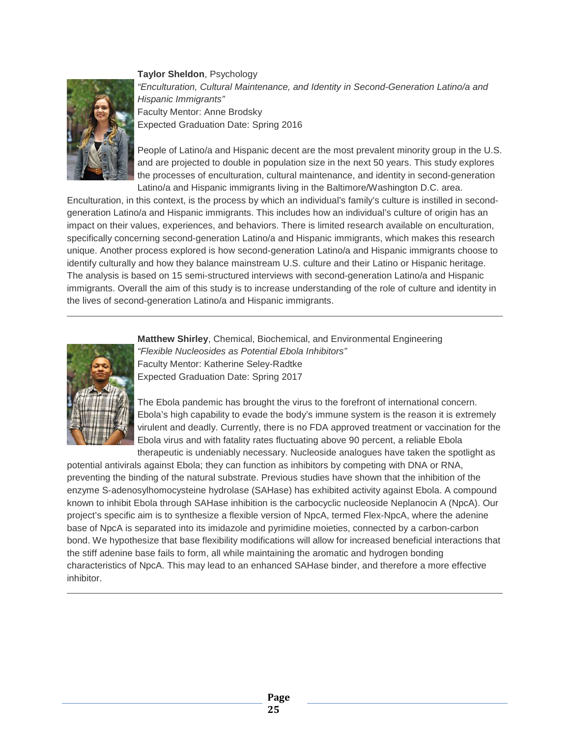

**Taylor Sheldon**, Psychology *"Enculturation, Cultural Maintenance, and Identity in Second-Generation Latino/a and Hispanic Immigrants"* Faculty Mentor: Anne Brodsky Expected Graduation Date: Spring 2016

People of Latino/a and Hispanic decent are the most prevalent minority group in the U.S. and are projected to double in population size in the next 50 years. This study explores the processes of enculturation, cultural maintenance, and identity in second-generation Latino/a and Hispanic immigrants living in the Baltimore/Washington D.C. area.

Enculturation, in this context, is the process by which an individual's family's culture is instilled in secondgeneration Latino/a and Hispanic immigrants. This includes how an individual's culture of origin has an impact on their values, experiences, and behaviors. There is limited research available on enculturation, specifically concerning second-generation Latino/a and Hispanic immigrants, which makes this research unique. Another process explored is how second-generation Latino/a and Hispanic immigrants choose to identify culturally and how they balance mainstream U.S. culture and their Latino or Hispanic heritage. The analysis is based on 15 semi-structured interviews with second-generation Latino/a and Hispanic immigrants. Overall the aim of this study is to increase understanding of the role of culture and identity in the lives of second-generation Latino/a and Hispanic immigrants.



**Matthew Shirley**, Chemical, Biochemical, and Environmental Engineering *"Flexible Nucleosides as Potential Ebola Inhibitors"* Faculty Mentor: Katherine Seley-Radtke Expected Graduation Date: Spring 2017

The Ebola pandemic has brought the virus to the forefront of international concern. Ebola's high capability to evade the body's immune system is the reason it is extremely virulent and deadly. Currently, there is no FDA approved treatment or vaccination for the Ebola virus and with fatality rates fluctuating above 90 percent, a reliable Ebola therapeutic is undeniably necessary. Nucleoside analogues have taken the spotlight as

potential antivirals against Ebola; they can function as inhibitors by competing with DNA or RNA, preventing the binding of the natural substrate. Previous studies have shown that the inhibition of the enzyme S-adenosylhomocysteine hydrolase (SAHase) has exhibited activity against Ebola. A compound known to inhibit Ebola through SAHase inhibition is the carbocyclic nucleoside Neplanocin A (NpcA). Our project's specific aim is to synthesize a flexible version of NpcA, termed Flex-NpcA, where the adenine base of NpcA is separated into its imidazole and pyrimidine moieties, connected by a carbon-carbon bond. We hypothesize that base flexibility modifications will allow for increased beneficial interactions that the stiff adenine base fails to form, all while maintaining the aromatic and hydrogen bonding characteristics of NpcA. This may lead to an enhanced SAHase binder, and therefore a more effective inhibitor.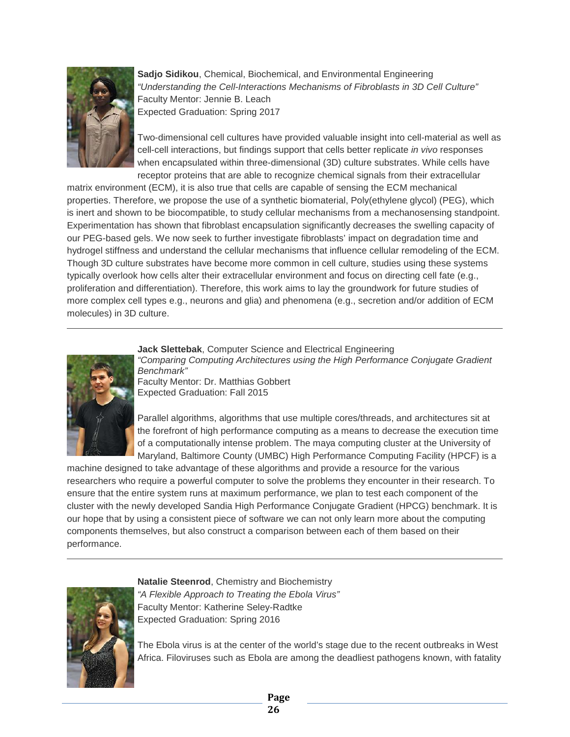

**Sadjo Sidikou**, Chemical, Biochemical, and Environmental Engineering *"Understanding the Cell-Interactions Mechanisms of Fibroblasts in 3D Cell Culture"* Faculty Mentor: Jennie B. Leach Expected Graduation: Spring 2017

Two-dimensional cell cultures have provided valuable insight into cell-material as well as cell-cell interactions, but findings support that cells better replicate *in vivo* responses when encapsulated within three-dimensional (3D) culture substrates. While cells have receptor proteins that are able to recognize chemical signals from their extracellular

matrix environment (ECM), it is also true that cells are capable of sensing the ECM mechanical properties. Therefore, we propose the use of a synthetic biomaterial, Poly(ethylene glycol) (PEG), which is inert and shown to be biocompatible, to study cellular mechanisms from a mechanosensing standpoint. Experimentation has shown that fibroblast encapsulation significantly decreases the swelling capacity of our PEG-based gels. We now seek to further investigate fibroblasts' impact on degradation time and hydrogel stiffness and understand the cellular mechanisms that influence cellular remodeling of the ECM. Though 3D culture substrates have become more common in cell culture, studies using these systems typically overlook how cells alter their extracellular environment and focus on directing cell fate (e.g., proliferation and differentiation). Therefore, this work aims to lay the groundwork for future studies of more complex cell types e.g., neurons and glia) and phenomena (e.g., secretion and/or addition of ECM molecules) in 3D culture.



**Jack Slettebak**, Computer Science and Electrical Engineering *"Comparing Computing Architectures using the High Performance Conjugate Gradient Benchmark"* Faculty Mentor: Dr. Matthias Gobbert

Expected Graduation: Fall 2015

Parallel algorithms, algorithms that use multiple cores/threads, and architectures sit at the forefront of high performance computing as a means to decrease the execution time of a computationally intense problem. The maya computing cluster at the University of Maryland, Baltimore County (UMBC) High Performance Computing Facility (HPCF) is a

machine designed to take advantage of these algorithms and provide a resource for the various researchers who require a powerful computer to solve the problems they encounter in their research. To ensure that the entire system runs at maximum performance, we plan to test each component of the cluster with the newly developed Sandia High Performance Conjugate Gradient (HPCG) benchmark. It is our hope that by using a consistent piece of software we can not only learn more about the computing components themselves, but also construct a comparison between each of them based on their performance.



**Natalie Steenrod**, Chemistry and Biochemistry *"A Flexible Approach to Treating the Ebola Virus"* Faculty Mentor: Katherine Seley-Radtke Expected Graduation: Spring 2016

The Ebola virus is at the center of the world's stage due to the recent outbreaks in West Africa. Filoviruses such as Ebola are among the deadliest pathogens known, with fatality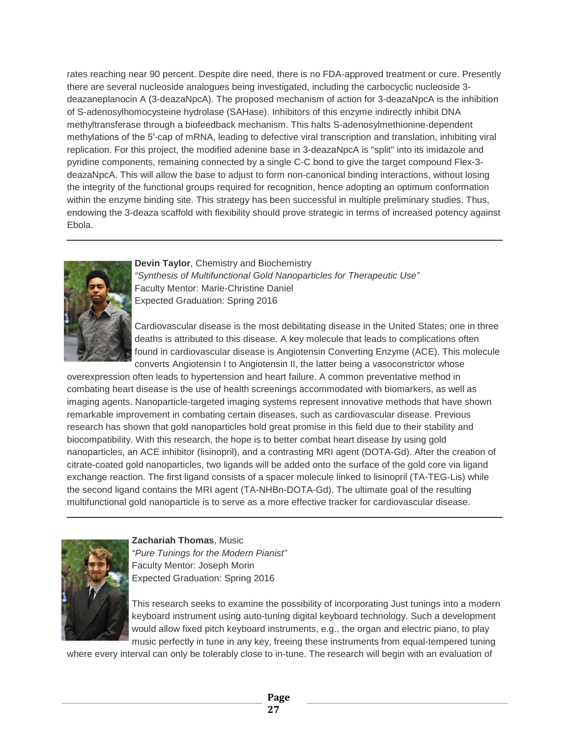rates reaching near 90 percent. Despite dire need, there is no FDA-approved treatment or cure. Presently there are several nucleoside analogues being investigated, including the carbocyclic nucleoside 3 deazaneplanocin A (3-deazaNpcA). The proposed mechanism of action for 3-deazaNpcA is the inhibition of S-adenosylhomocysteine hydrolase (SAHase). Inhibitors of this enzyme indirectly inhibit DNA methyltransferase through a biofeedback mechanism. This halts S-adenosylmethionine-dependent methylations of the 5′-cap of mRNA, leading to defective viral transcription and translation, inhibiting viral replication. For this project, the modified adenine base in 3-deazaNpcA is "split" into its imidazole and pyridine components, remaining connected by a single C-C bond to give the target compound Flex-3 deazaNpcA. This will allow the base to adjust to form non-canonical binding interactions, without losing the integrity of the functional groups required for recognition, hence adopting an optimum conformation within the enzyme binding site. This strategy has been successful in multiple preliminary studies. Thus, endowing the 3-deaza scaffold with flexibility should prove strategic in terms of increased potency against Ebola.



**Devin Taylor**, Chemistry and Biochemistry *"Synthesis of Multifunctional Gold Nanoparticles for Therapeutic Use"* Faculty Mentor: Marie-Christine Daniel Expected Graduation: Spring 2016

Cardiovascular disease is the most debilitating disease in the United States; one in three deaths is attributed to this disease. A key molecule that leads to complications often found in cardiovascular disease is Angiotensin Converting Enzyme (ACE). This molecule converts Angiotensin I to Angiotensin II, the latter being a vasoconstrictor whose

overexpression often leads to hypertension and heart failure. A common preventative method in combating heart disease is the use of health screenings accommodated with biomarkers, as well as imaging agents. Nanoparticle-targeted imaging systems represent innovative methods that have shown remarkable improvement in combating certain diseases, such as cardiovascular disease. Previous research has shown that gold nanoparticles hold great promise in this field due to their stability and biocompatibility. With this research, the hope is to better combat heart disease by using gold nanoparticles, an ACE inhibitor (lisinopril), and a contrasting MRI agent (DOTA-Gd). After the creation of citrate-coated gold nanoparticles, two ligands will be added onto the surface of the gold core via ligand exchange reaction. The first ligand consists of a spacer molecule linked to lisinopril (TA-TEG-Lis) while the second ligand contains the MRI agent (TA-NHBn-DOTA-Gd). The ultimate goal of the resulting multifunctional gold nanoparticle is to serve as a more effective tracker for cardiovascular disease.



**Zachariah Thomas**, Music *"Pure Tunings for the Modern Pianist"* Faculty Mentor: Joseph Morin Expected Graduation: Spring 2016

This research seeks to examine the possibility of incorporating Just tunings into a modern keyboard instrument using auto-tuning digital keyboard technology. Such a development would allow fixed pitch keyboard instruments, e.g., the organ and electric piano, to play music perfectly in tune in any key, freeing these instruments from equal-tempered tuning

where every interval can only be tolerably close to in-tune. The research will begin with an evaluation of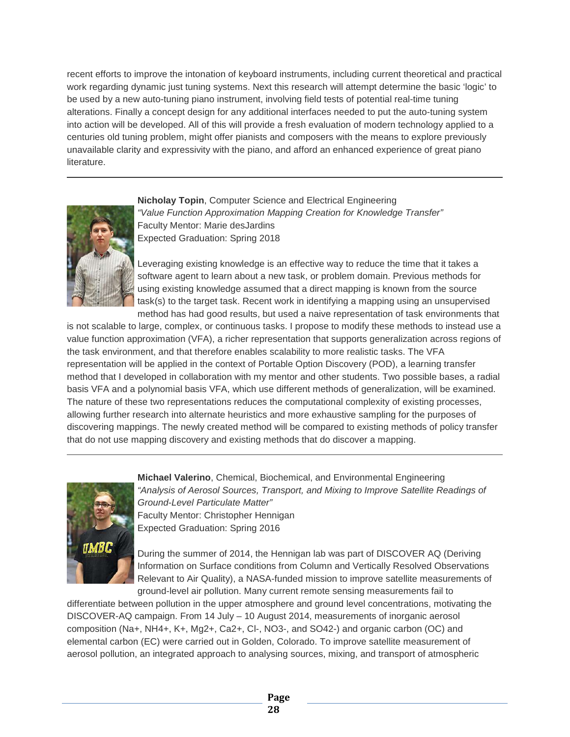recent efforts to improve the intonation of keyboard instruments, including current theoretical and practical work regarding dynamic just tuning systems. Next this research will attempt determine the basic 'logic' to be used by a new auto-tuning piano instrument, involving field tests of potential real-time tuning alterations. Finally a concept design for any additional interfaces needed to put the auto-tuning system into action will be developed. All of this will provide a fresh evaluation of modern technology applied to a centuries old tuning problem, might offer pianists and composers with the means to explore previously unavailable clarity and expressivity with the piano, and afford an enhanced experience of great piano literature.



**Nicholay Topin**, Computer Science and Electrical Engineering *"Value Function Approximation Mapping Creation for Knowledge Transfer"* Faculty Mentor: Marie desJardins Expected Graduation: Spring 2018

Leveraging existing knowledge is an effective way to reduce the time that it takes a software agent to learn about a new task, or problem domain. Previous methods for using existing knowledge assumed that a direct mapping is known from the source task(s) to the target task. Recent work in identifying a mapping using an unsupervised method has had good results, but used a naive representation of task environments that

is not scalable to large, complex, or continuous tasks. I propose to modify these methods to instead use a value function approximation (VFA), a richer representation that supports generalization across regions of the task environment, and that therefore enables scalability to more realistic tasks. The VFA representation will be applied in the context of Portable Option Discovery (POD), a learning transfer method that I developed in collaboration with my mentor and other students. Two possible bases, a radial basis VFA and a polynomial basis VFA, which use different methods of generalization, will be examined. The nature of these two representations reduces the computational complexity of existing processes, allowing further research into alternate heuristics and more exhaustive sampling for the purposes of discovering mappings. The newly created method will be compared to existing methods of policy transfer that do not use mapping discovery and existing methods that do discover a mapping.



**Michael Valerino**, Chemical, Biochemical, and Environmental Engineering "Analysis of Aerosol Sources, Transport, and Mixing to Improve Satellite Readings of *Ground-Level Particulate Matter"* Faculty Mentor: Christopher Hennigan Expected Graduation: Spring 2016

During the summer of 2014, the Hennigan lab was part of DISCOVER AQ (Deriving Information on Surface conditions from Column and Vertically Resolved Observations Relevant to Air Quality), a NASA-funded mission to improve satellite measurements of ground-level air pollution. Many current remote sensing measurements fail to

differentiate between pollution in the upper atmosphere and ground level concentrations, motivating the DISCOVER-AQ campaign. From 14 July – 10 August 2014, measurements of inorganic aerosol composition (Na+, NH4+, K+, Mg2+, Ca2+, Cl-, NO3-, and SO42-) and organic carbon (OC) and elemental carbon (EC) were carried out in Golden, Colorado. To improve satellite measurement of aerosol pollution, an integrated approach to analysing sources, mixing, and transport of atmospheric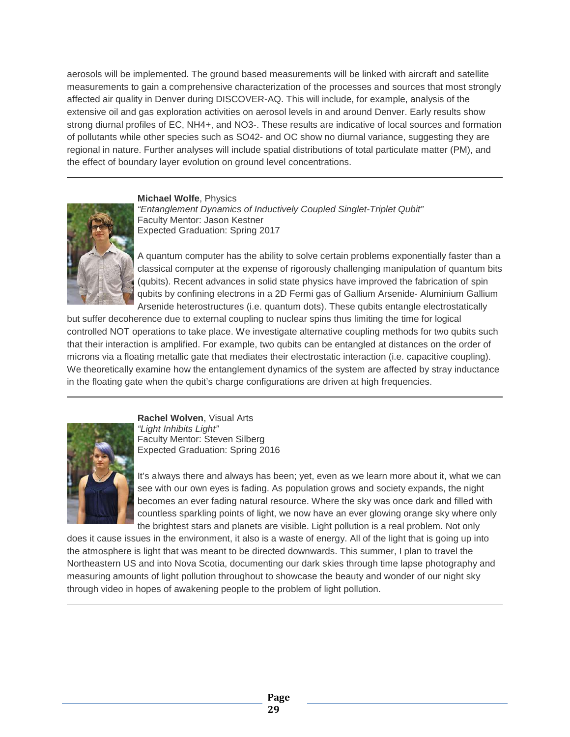aerosols will be implemented. The ground based measurements will be linked with aircraft and satellite measurements to gain a comprehensive characterization of the processes and sources that most strongly affected air quality in Denver during DISCOVER-AQ. This will include, for example, analysis of the extensive oil and gas exploration activities on aerosol levels in and around Denver. Early results show strong diurnal profiles of EC, NH4+, and NO3-. These results are indicative of local sources and formation of pollutants while other species such as SO42- and OC show no diurnal variance, suggesting they are regional in nature. Further analyses will include spatial distributions of total particulate matter (PM), and the effect of boundary layer evolution on ground level concentrations.

**Michael Wolfe**, Physics



*"Entanglement Dynamics of Inductively Coupled Singlet-Triplet Qubit"* Faculty Mentor: Jason Kestner Expected Graduation: Spring 2017

A quantum computer has the ability to solve certain problems exponentially faster than a classical computer at the expense of rigorously challenging manipulation of quantum bits (qubits). Recent advances in solid state physics have improved the fabrication of spin qubits by confining electrons in a 2D Fermi gas of Gallium Arsenide- Aluminium Gallium Arsenide heterostructures (i.e. quantum dots). These qubits entangle electrostatically

but suffer decoherence due to external coupling to nuclear spins thus limiting the time for logical controlled NOT operations to take place. We investigate alternative coupling methods for two qubits such that their interaction is amplified. For example, two qubits can be entangled at distances on the order of microns via a floating metallic gate that mediates their electrostatic interaction (i.e. capacitive coupling). We theoretically examine how the entanglement dynamics of the system are affected by stray inductance in the floating gate when the qubit's charge configurations are driven at high frequencies.



**Rachel Wolven**, Visual Arts *"Light Inhibits Light"* Faculty Mentor: Steven Silberg Expected Graduation: Spring 2016

It's always there and always has been; yet, even as we learn more about it, what we can see with our own eyes is fading. As population grows and society expands, the night becomes an ever fading natural resource. Where the sky was once dark and filled with countless sparkling points of light, we now have an ever glowing orange sky where only the brightest stars and planets are visible. Light pollution is a real problem. Not only

does it cause issues in the environment, it also is a waste of energy. All of the light that is going up into the atmosphere is light that was meant to be directed downwards. This summer, I plan to travel the Northeastern US and into Nova Scotia, documenting our dark skies through time lapse photography and measuring amounts of light pollution throughout to showcase the beauty and wonder of our night sky through video in hopes of awakening people to the problem of light pollution.